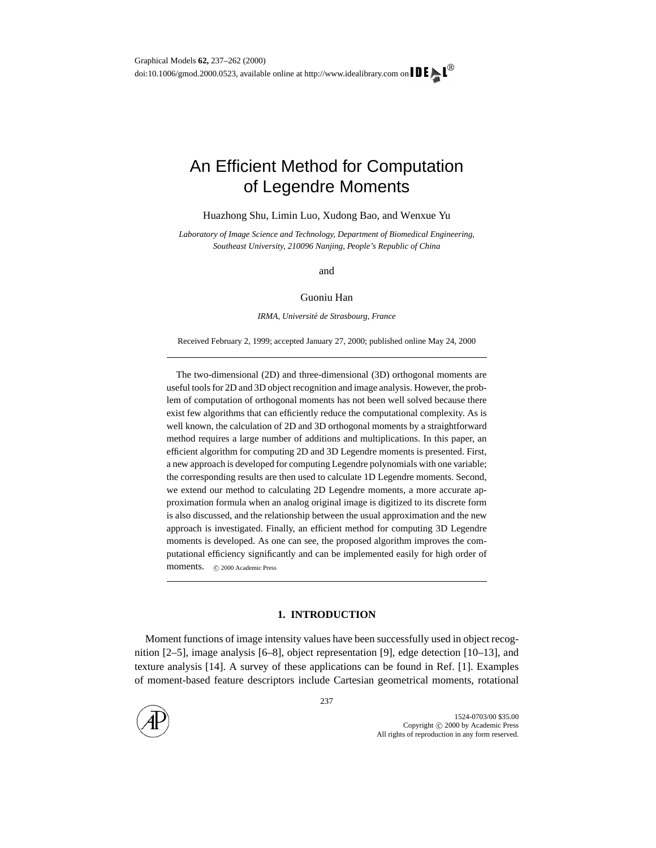# An Efficient Method for Computation of Legendre Moments

Huazhong Shu, Limin Luo, Xudong Bao, and Wenxue Yu

*Laboratory of Image Science and Technology, Department of Biomedical Engineering, Southeast University, 210096 Nanjing, People's Republic of China*

and

#### Guoniu Han

*IRMA, Universite de Strasbourg, France ´*

Received February 2, 1999; accepted January 27, 2000; published online May 24, 2000

The two-dimensional (2D) and three-dimensional (3D) orthogonal moments are useful tools for 2D and 3D object recognition and image analysis. However, the problem of computation of orthogonal moments has not been well solved because there exist few algorithms that can efficiently reduce the computational complexity. As is well known, the calculation of 2D and 3D orthogonal moments by a straightforward method requires a large number of additions and multiplications. In this paper, an efficient algorithm for computing 2D and 3D Legendre moments is presented. First, a new approach is developed for computing Legendre polynomials with one variable; the corresponding results are then used to calculate 1D Legendre moments. Second, we extend our method to calculating 2D Legendre moments, a more accurate approximation formula when an analog original image is digitized to its discrete form is also discussed, and the relationship between the usual approximation and the new approach is investigated. Finally, an efficient method for computing 3D Legendre moments is developed. As one can see, the proposed algorithm improves the computational efficiency significantly and can be implemented easily for high order of moments. C 2000 Academic Press

# **1. INTRODUCTION**

Moment functions of image intensity values have been successfully used in object recognition [2–5], image analysis [6–8], object representation [9], edge detection [10–13], and texture analysis [14]. A survey of these applications can be found in Ref. [1]. Examples of moment-based feature descriptors include Cartesian geometrical moments, rotational

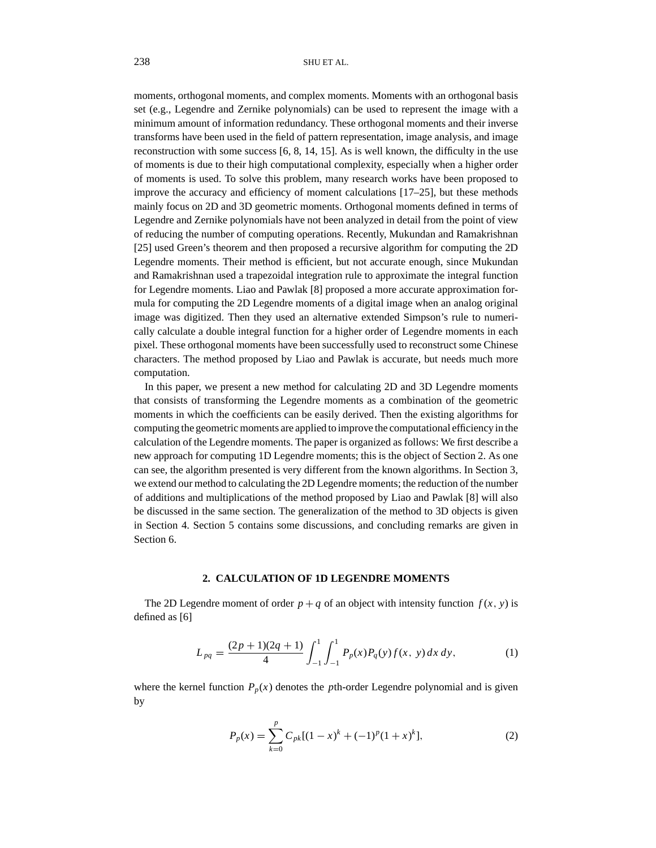moments, orthogonal moments, and complex moments. Moments with an orthogonal basis set (e.g., Legendre and Zernike polynomials) can be used to represent the image with a minimum amount of information redundancy. These orthogonal moments and their inverse transforms have been used in the field of pattern representation, image analysis, and image reconstruction with some success [6, 8, 14, 15]. As is well known, the difficulty in the use of moments is due to their high computational complexity, especially when a higher order of moments is used. To solve this problem, many research works have been proposed to improve the accuracy and efficiency of moment calculations [17–25], but these methods mainly focus on 2D and 3D geometric moments. Orthogonal moments defined in terms of Legendre and Zernike polynomials have not been analyzed in detail from the point of view of reducing the number of computing operations. Recently, Mukundan and Ramakrishnan [25] used Green's theorem and then proposed a recursive algorithm for computing the 2D Legendre moments. Their method is efficient, but not accurate enough, since Mukundan and Ramakrishnan used a trapezoidal integration rule to approximate the integral function for Legendre moments. Liao and Pawlak [8] proposed a more accurate approximation formula for computing the 2D Legendre moments of a digital image when an analog original image was digitized. Then they used an alternative extended Simpson's rule to numerically calculate a double integral function for a higher order of Legendre moments in each pixel. These orthogonal moments have been successfully used to reconstruct some Chinese characters. The method proposed by Liao and Pawlak is accurate, but needs much more computation.

In this paper, we present a new method for calculating 2D and 3D Legendre moments that consists of transforming the Legendre moments as a combination of the geometric moments in which the coefficients can be easily derived. Then the existing algorithms for computing the geometric moments are applied to improve the computational efficiency in the calculation of the Legendre moments. The paper is organized as follows: We first describe a new approach for computing 1D Legendre moments; this is the object of Section 2. As one can see, the algorithm presented is very different from the known algorithms. In Section 3, we extend our method to calculating the 2D Legendre moments; the reduction of the number of additions and multiplications of the method proposed by Liao and Pawlak [8] will also be discussed in the same section. The generalization of the method to 3D objects is given in Section 4. Section 5 contains some discussions, and concluding remarks are given in Section 6.

#### **2. CALCULATION OF 1D LEGENDRE MOMENTS**

The 2D Legendre moment of order  $p + q$  of an object with intensity function  $f(x, y)$  is defined as [6]

$$
L_{pq} = \frac{(2p+1)(2q+1)}{4} \int_{-1}^{1} \int_{-1}^{1} P_p(x) P_q(y) f(x, y) dx dy,
$$
 (1)

where the kernel function  $P_p(x)$  denotes the *p*th-order Legendre polynomial and is given by

$$
P_p(x) = \sum_{k=0}^p C_{pk}[(1-x)^k + (-1)^p(1+x)^k],
$$
\n(2)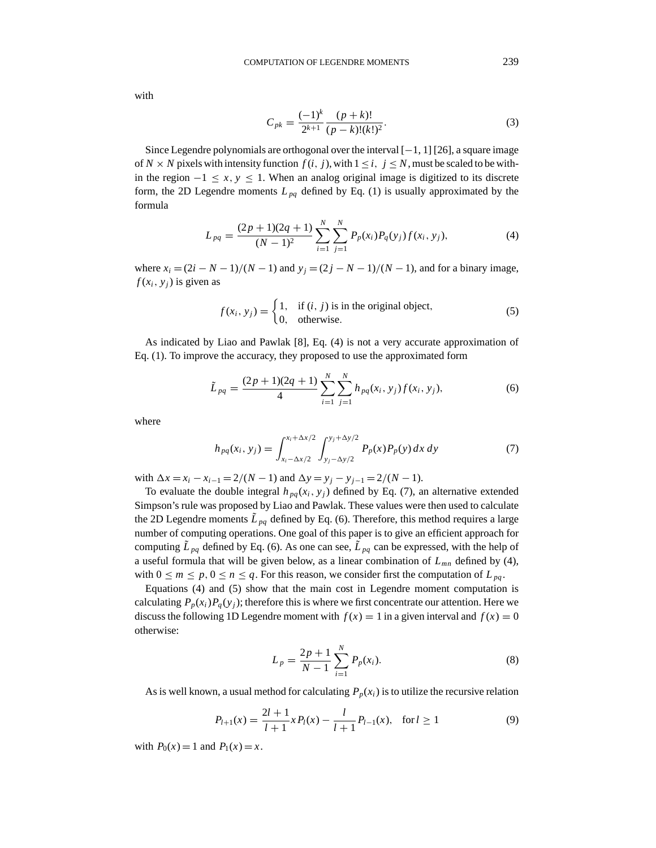with

$$
C_{pk} = \frac{(-1)^k}{2^{k+1}} \frac{(p+k)!}{(p-k)!(k!)^2}.
$$
 (3)

Since Legendre polynomials are orthogonal over the interval  $[-1, 1]$  [26], a square image of *N* × *N* pixels with intensity function  $f(i, j)$ , with  $1 \le i, j \le N$ , must be scaled to be within the region  $-1 \le x, y \le 1$ . When an analog original image is digitized to its discrete form, the 2D Legendre moments  $L_{pq}$  defined by Eq. (1) is usually approximated by the formula

$$
L_{pq} = \frac{(2p+1)(2q+1)}{(N-1)^2} \sum_{i=1}^{N} \sum_{j=1}^{N} P_p(x_i) P_q(y_j) f(x_i, y_j),
$$
 (4)

where  $x_i = (2i - N - 1)/(N - 1)$  and  $y_j = (2j - N - 1)/(N - 1)$ , and for a binary image,  $f(x_i, y_i)$  is given as

$$
f(x_i, y_j) = \begin{cases} 1, & \text{if } (i, j) \text{ is in the original object,} \\ 0, & \text{otherwise.} \end{cases}
$$
 (5)

As indicated by Liao and Pawlak [8], Eq. (4) is not a very accurate approximation of Eq. (1). To improve the accuracy, they proposed to use the approximated form

$$
\tilde{L}_{pq} = \frac{(2p+1)(2q+1)}{4} \sum_{i=1}^{N} \sum_{j=1}^{N} h_{pq}(x_i, y_j) f(x_i, y_j),
$$
\n(6)

where

$$
h_{pq}(x_i, y_j) = \int_{x_i - \Delta x/2}^{x_i + \Delta x/2} \int_{y_j - \Delta y/2}^{y_j + \Delta y/2} P_p(x) P_p(y) dx dy
$$
 (7)

with  $\Delta x = x_i - x_{i-1} = 2/(N-1)$  and  $\Delta y = y_i - y_{i-1} = 2/(N-1)$ .

To evaluate the double integral  $h_{pq}(x_i, y_j)$  defined by Eq. (7), an alternative extended Simpson's rule was proposed by Liao and Pawlak. These values were then used to calculate the 2D Legendre moments  $\tilde{L}_{pq}$  defined by Eq. (6). Therefore, this method requires a large number of computing operations. One goal of this paper is to give an efficient approach for computing  $\tilde{L}_{pq}$  defined by Eq. (6). As one can see,  $\tilde{L}_{pq}$  can be expressed, with the help of a useful formula that will be given below, as a linear combination of  $L_{mn}$  defined by (4), with  $0 \le m \le p$ ,  $0 \le n \le q$ . For this reason, we consider first the computation of  $L_{pq}$ .

Equations (4) and (5) show that the main cost in Legendre moment computation is calculating  $P_p(x_i)P_q(y_i)$ ; therefore this is where we first concentrate our attention. Here we discuss the following 1D Legendre moment with  $f(x) = 1$  in a given interval and  $f(x) = 0$ otherwise:

$$
L_p = \frac{2p+1}{N-1} \sum_{i=1}^{N} P_p(x_i).
$$
 (8)

As is well known, a usual method for calculating  $P_p(x_i)$  is to utilize the recursive relation

$$
P_{l+1}(x) = \frac{2l+1}{l+1} x P_l(x) - \frac{l}{l+1} P_{l-1}(x), \quad \text{for } l \ge 1
$$
 (9)

with  $P_0(x) = 1$  and  $P_1(x) = x$ .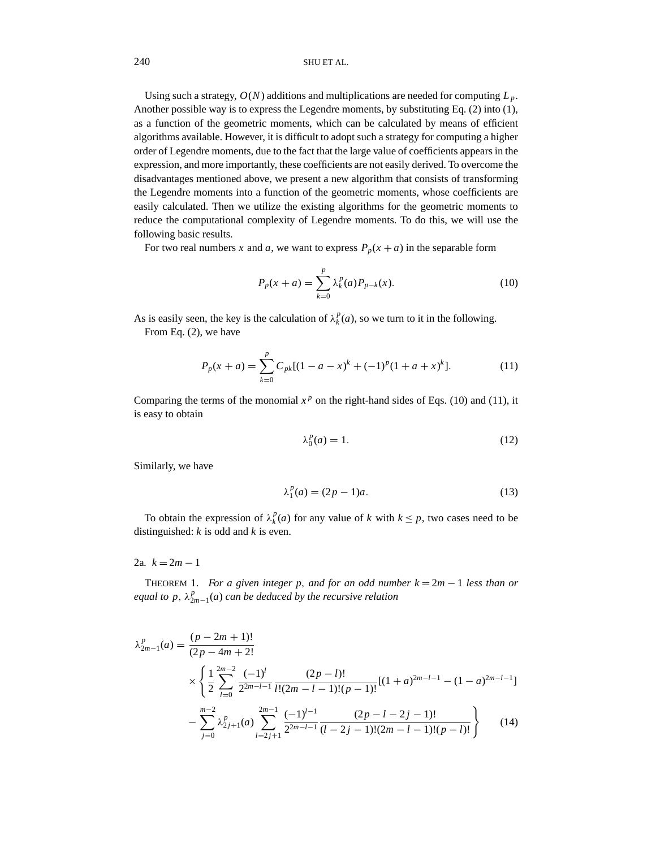Using such a strategy,  $O(N)$  additions and multiplications are needed for computing  $L_p$ . Another possible way is to express the Legendre moments, by substituting Eq. (2) into (1), as a function of the geometric moments, which can be calculated by means of efficient algorithms available. However, it is difficult to adopt such a strategy for computing a higher order of Legendre moments, due to the fact that the large value of coefficients appears in the expression, and more importantly, these coefficients are not easily derived. To overcome the disadvantages mentioned above, we present a new algorithm that consists of transforming the Legendre moments into a function of the geometric moments, whose coefficients are easily calculated. Then we utilize the existing algorithms for the geometric moments to reduce the computational complexity of Legendre moments. To do this, we will use the following basic results.

For two real numbers *x* and *a*, we want to express  $P_p(x + a)$  in the separable form

$$
P_p(x+a) = \sum_{k=0}^p \lambda_k^p(a) P_{p-k}(x).
$$
 (10)

As is easily seen, the key is the calculation of  $\lambda_k^p(a)$ , so we turn to it in the following.

From Eq. (2), we have

$$
P_p(x+a) = \sum_{k=0}^p C_{pk}[(1-a-x)^k + (-1)^p(1+a+x)^k].
$$
 (11)

Comparing the terms of the monomial  $x^p$  on the right-hand sides of Eqs. (10) and (11), it is easy to obtain

$$
\lambda_0^p(a) = 1. \tag{12}
$$

Similarly, we have

$$
\lambda_1^p(a) = (2p - 1)a. \tag{13}
$$

To obtain the expression of  $\lambda_k^p(a)$  for any value of *k* with  $k \leq p$ , two cases need to be distinguished: *k* is odd and *k* is even.

2a.  $k = 2m - 1$ 

THEOREM 1. *For a given integer p, and for an odd number*  $k = 2m - 1$  *less than or equal to p*,  $\lambda_{2m-1}^p(a)$  *can be deduced by the recursive relation* 

$$
\lambda_{2m-1}^{p}(a) = \frac{(p-2m+1)!}{(2p-4m+2)!} \times \left\{ \frac{1}{2} \sum_{l=0}^{2m-2} \frac{(-1)^{l}}{2^{2m-l-1}} \frac{(2p-l)!}{l!(2m-l-1)!(p-1)!} [(1+a)^{2m-l-1} - (1-a)^{2m-l-1}] - \sum_{j=0}^{m-2} \lambda_{2j+1}^{p}(a) \sum_{l=2j+1}^{2m-1} \frac{(-1)^{l-1}}{2^{2m-l-1}} \frac{(2p-l-2j-1)!}{(l-2j-1)!(2m-l-1)!(p-l)!} \right\}
$$
(14)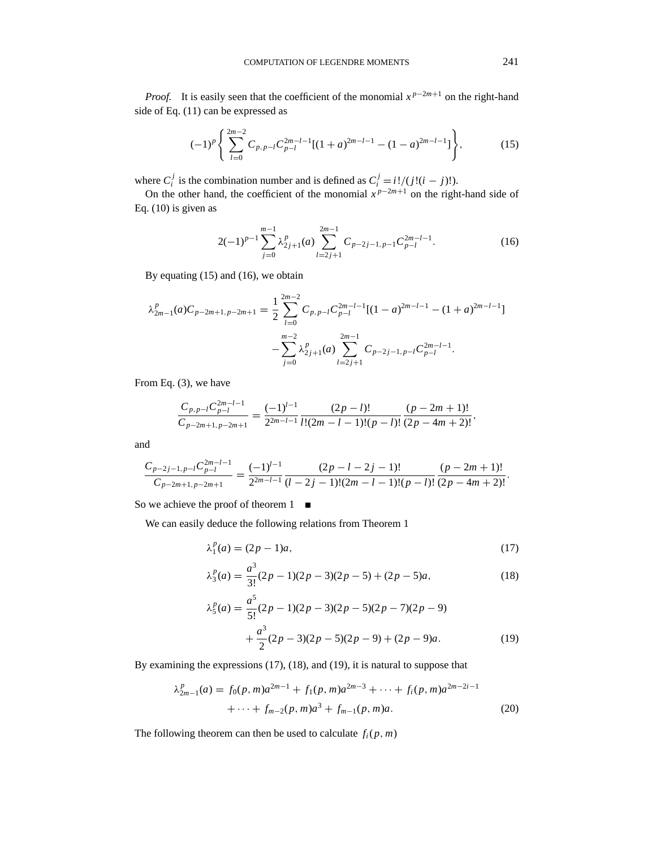*Proof.* It is easily seen that the coefficient of the monomial  $x^{p-2m+1}$  on the right-hand side of Eq. (11) can be expressed as

$$
(-1)^p \left\{ \sum_{l=0}^{2m-2} C_{p,p-l} C_{p-l}^{2m-l-1} [(1+a)^{2m-l-1} - (1-a)^{2m-l-1}] \right\},
$$
 (15)

where  $C_i^j$  is the combination number and is defined as  $C_i^j = i!/(j!(i-j)!)$ .

On the other hand, the coefficient of the monomial  $x^{p-2m+1}$  on the right-hand side of Eq. (10) is given as

$$
2(-1)^{p-1} \sum_{j=0}^{m-1} \lambda_{2j+1}^p(a) \sum_{l=2j+1}^{2m-1} C_{p-2j-1,p-1} C_{p-l}^{2m-l-1}.
$$
 (16)

By equating (15) and (16), we obtain

$$
\lambda_{2m-1}^p(a)C_{p-2m+1,p-2m+1} = \frac{1}{2} \sum_{l=0}^{2m-2} C_{p,p-l} C_{p-l}^{2m-l-1} [(1-a)^{2m-l-1} - (1+a)^{2m-l-1}]
$$

$$
- \sum_{j=0}^{m-2} \lambda_{2j+1}^p(a) \sum_{l=2j+1}^{2m-1} C_{p-2j-1,p-l} C_{p-l}^{2m-l-1}.
$$

From Eq. (3), we have

$$
\frac{C_{p,p-l}C_{p-l}^{2m-l-1}}{C_{p-2m+1,p-2m+1}} = \frac{(-1)^{l-1}}{2^{2m-l-1}} \frac{(2p-l)!}{l!(2m-l-1)!(p-l)!} \frac{(p-2m+1)!}{(2p-4m+2)!},
$$

and

$$
\frac{C_{p-2j-1,p-l}C_{p-l}^{2m-l-1}}{C_{p-2m+1,p-2m+1}} = \frac{(-1)^{l-1}}{2^{2m-l-1}} \frac{(2p-l-2j-1)!}{(l-2j-1)!(2m-l-1)!(p-l)!} \frac{(p-2m+1)!}{(2p-4m+2)!}.
$$

So we achieve the proof of theorem  $1 \quad \blacksquare$ 

We can easily deduce the following relations from Theorem 1

$$
\lambda_1^p(a) = (2p - 1)a,\tag{17}
$$

$$
\lambda_3^p(a) = \frac{a^3}{3!}(2p-1)(2p-3)(2p-5) + (2p-5)a,
$$
\n(18)

$$
\lambda_5^p(a) = \frac{a^5}{5!}(2p-1)(2p-3)(2p-5)(2p-7)(2p-9) + \frac{a^3}{2}(2p-3)(2p-5)(2p-9) + (2p-9)a.
$$
 (19)

By examining the expressions (17), (18), and (19), it is natural to suppose that

$$
\lambda_{2m-1}^p(a) = f_0(p, m)a^{2m-1} + f_1(p, m)a^{2m-3} + \dots + f_i(p, m)a^{2m-2i-1} + \dots + f_{m-2}(p, m)a^3 + f_{m-1}(p, m)a.
$$
\n(20)

The following theorem can then be used to calculate  $f_i(p, m)$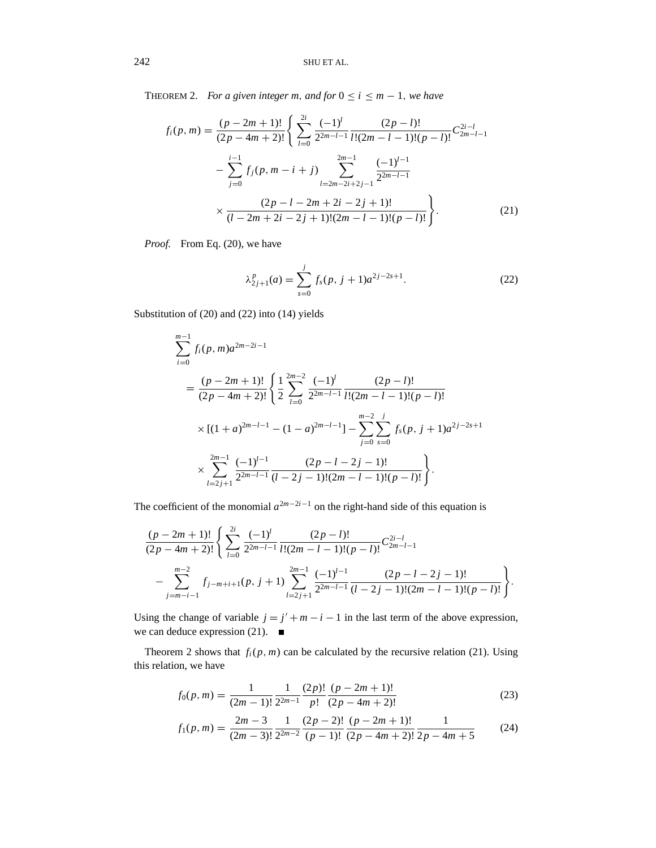THEOREM 2. *For a given integer m, and for*  $0 \le i \le m - 1$ *, we have* 

$$
f_i(p,m) = \frac{(p-2m+1)!}{(2p-4m+2)!} \left\{ \sum_{l=0}^{2i} \frac{(-1)^l}{2^{2m-l-1}} \frac{(2p-l)!}{l!(2m-l-1)!(p-l)!} C_{2m-l-1}^{2i-l} - \sum_{j=0}^{i-1} f_j(p,m-i+j) \sum_{l=2m-2i+2j-1}^{2m-1} \frac{(-1)^{l-1}}{2^{2m-l-1}} \times \frac{(2p-l-2m+2i-2j+1)!}{(l-2m+2i-2j+1)!(2m-l-1)!(p-l)!} \right\}.
$$
\n(21)

*Proof.* From Eq. (20), we have

$$
\lambda_{2j+1}^p(a) = \sum_{s=0}^j f_s(p, j+1)a^{2j-2s+1}.
$$
 (22)

Substitution of (20) and (22) into (14) yields

$$
\sum_{i=0}^{m-1} f_i(p,m)a^{2m-2i-1}
$$
\n
$$
= \frac{(p-2m+1)!}{(2p-4m+2)!} \left\{ \frac{1}{2} \sum_{l=0}^{2m-2} \frac{(-1)^l}{2^{2m-l-1}} \frac{(2p-l)!}{l!(2m-l-1)!(p-l)!} \right\}
$$
\n
$$
\times \left[ (1+a)^{2m-l-1} - (1-a)^{2m-l-1} \right] - \sum_{j=0}^{m-2} \sum_{s=0}^j f_s(p,j+1)a^{2j-2s+1}
$$
\n
$$
\times \sum_{l=2j+1}^{2m-1} \frac{(-1)^{l-1}}{2^{2m-l-1}} \frac{(2p-l-2j-1)!}{(l-2j-1)!(2m-l-1)!(p-l)!} \right\}.
$$

The coefficient of the monomial  $a^{2m-2i-1}$  on the right-hand side of this equation is

$$
\frac{(p-2m+1)!}{(2p-4m+2)!} \left\{ \sum_{l=0}^{2i} \frac{(-1)^l}{2^{2m-l-1}} \frac{(2p-l)!}{l!(2m-l-1)!(p-l)!} C_{2m-l-1}^{2i-l} - \sum_{j=m-i-1}^{m-2} f_{j-m+i+1}(p, j+1) \sum_{l=2j+1}^{2m-1} \frac{(-1)^{l-1}}{2^{2m-l-1}} \frac{(2p-l-2j-1)!}{(l-2j-1)!(2m-l-1)!(p-l)!} \right\}.
$$

Using the change of variable  $j = j' + m - i - 1$  in the last term of the above expression, we can deduce expression (21). we can deduce expression (21).

Theorem 2 shows that  $f_i(p, m)$  can be calculated by the recursive relation (21). Using this relation, we have

$$
f_0(p,m) = \frac{1}{(2m-1)!} \frac{1}{2^{2m-1}} \frac{(2p)!}{p!} \frac{(p-2m+1)!}{(2p-4m+2)!}
$$
(23)

$$
f_1(p,m) = \frac{2m-3}{(2m-3)!} \frac{1}{2^{2m-2}} \frac{(2p-2)!}{(p-1)!} \frac{(p-2m+1)!}{(2p-4m+2)!} \frac{1}{2p-4m+5}
$$
(24)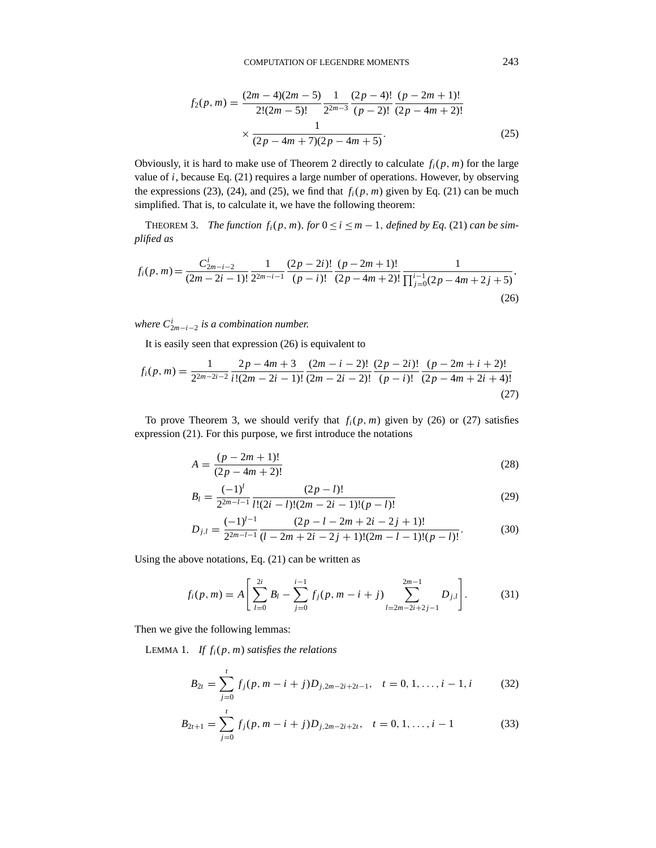$$
f_2(p,m) = \frac{(2m-4)(2m-5)}{2!(2m-5)!} \frac{1}{2^{2m-3}} \frac{(2p-4)!}{(p-2)!} \frac{(p-2m+1)!}{(2p-4m+2)!}
$$

$$
\times \frac{1}{(2p-4m+7)(2p-4m+5)}.
$$
(25)

Obviously, it is hard to make use of Theorem 2 directly to calculate  $f_i(p, m)$  for the large value of *i*, because Eq. (21) requires a large number of operations. However, by observing the expressions (23), (24), and (25), we find that  $f_i(p, m)$  given by Eq. (21) can be much simplified. That is, to calculate it, we have the following theorem:

THEOREM 3. *The function*  $f_i(p, m)$ ,  $for$   $0 \le i \le m - 1$ , *defined by Eq.* (21) *can be simplified as*

$$
f_i(p,m) = \frac{C_{2m-i-2}^i}{(2m-2i-1)!} \frac{1}{2^{2m-i-1}} \frac{(2p-2i)!}{(p-i)!} \frac{(p-2m+1)!}{(2p-4m+2)!} \frac{1}{\prod_{j=0}^{i-1} (2p-4m+2j+5)},
$$
\n(26)

*where C<sup>i</sup>* <sup>2</sup>*m*−*i*−<sup>2</sup> *is a combination number.*

It is easily seen that expression (26) is equivalent to

$$
f_i(p,m) = \frac{1}{2^{2m-2i-2}} \frac{2p-4m+3}{i!(2m-2i-1)!} \frac{(2m-i-2)!}{(2m-2i-2)!} \frac{(2p-2i)!}{(p-i)!} \frac{(p-2m+i+2)!}{(2p-4m+2i+4)!}
$$
\n(27)

To prove Theorem 3, we should verify that  $f_i(p, m)$  given by (26) or (27) satisfies expression (21). For this purpose, we first introduce the notations

$$
A = \frac{(p - 2m + 1)!}{(2p - 4m + 2)!}
$$
 (28)

$$
B_l = \frac{(-1)^l}{2^{2m-l-1}} \frac{(2p-l)!}{l!(2i-l)!(2m-2i-1)!(p-l)!}
$$
(29)

$$
D_{j,l} = \frac{(-1)^{l-1}}{2^{2m-l-1}} \frac{(2p-l-2m+2i-2j+1)!}{(l-2m+2i-2j+1)!(2m-l-1)!(p-l)!}.
$$
(30)

Using the above notations, Eq. (21) can be written as

$$
f_i(p,m) = A\left[\sum_{l=0}^{2i} B_l - \sum_{j=0}^{i-1} f_j(p,m-i+j) \sum_{l=2m-2i+2j-1}^{2m-1} D_{j,l}\right].
$$
 (31)

Then we give the following lemmas:

LEMMA 1. *If*  $f_i(p, m)$  *satisfies the relations* 

$$
B_{2t} = \sum_{j=0}^{t} f_j(p, m-i+j)D_{j,2m-2i+2t-1}, \quad t = 0, 1, \dots, i-1, i \tag{32}
$$

$$
B_{2t+1} = \sum_{j=0}^{t} f_j(p, m-i+j)D_{j,2m-2i+2t}, \quad t = 0, 1, ..., i-1
$$
 (33)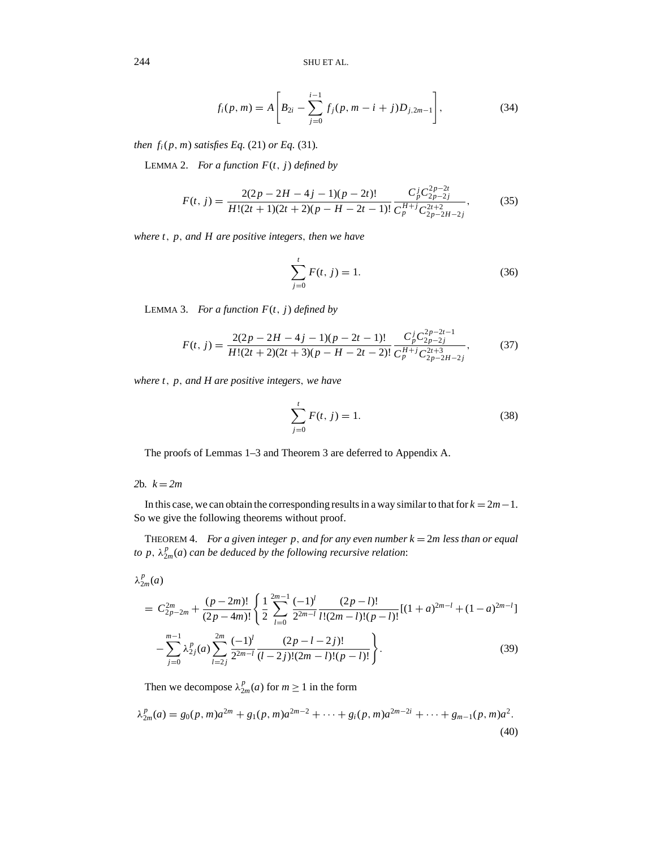$$
f_i(p,m) = A\left[B_{2i} - \sum_{j=0}^{i-1} f_j(p,m-i+j)D_{j,2m-1}\right],
$$
\n(34)

*then*  $f_i(p, m)$  *satisfies Eq.* (21) *or Eq.* (31)*.* 

LEMMA 2. *For a function*  $F(t, j)$  *defined by* 

$$
F(t, j) = \frac{2(2p - 2H - 4j - 1)(p - 2t)!}{H!(2t + 1)(2t + 2)(p - H - 2t - 1)!} \frac{C_p^j C_{2p - 2j}^{2p - 2t}}{C_p^{H+j} C_{2p - 2H - 2j}^{2t + 2}},
$$
(35)

*where t*, *p*, *and H are positive integers*, *then we have*

$$
\sum_{j=0}^{t} F(t, j) = 1.
$$
\n(36)

LEMMA 3. *For a function*  $F(t, j)$  *defined by* 

$$
F(t, j) = \frac{2(2p - 2H - 4j - 1)(p - 2t - 1)!}{H!(2t + 2)(2t + 3)(p - H - 2t - 2)!} \frac{C_p^j C_{2p - 2j}^{2p - 2t - 1}}{C_p^{H+j} C_{2p - 2H - 2j}^{2t + 3}},
$$
(37)

*where t*, *p*, *and H are positive integers*, *we have*

$$
\sum_{j=0}^{t} F(t, j) = 1.
$$
\n(38)

The proofs of Lemmas 1–3 and Theorem 3 are deferred to Appendix A.

# 2**b***.*  $k = 2m$

In this case, we can obtain the corresponding results in a way similar to that for  $k = 2m-1$ . So we give the following theorems without proof.

THEOREM 4. *For a given integer p*, *and for any even number k* = 2*m less than or equal to p*,  $\lambda_{2m}^p(a)$  *can be deduced by the following recursive relation*:

$$
\lambda_{2m}^p(a)
$$

$$
= C_{2p-2m}^{2m} + \frac{(p-2m)!}{(2p-4m)!} \left\{ \frac{1}{2} \sum_{l=0}^{2m-1} \frac{(-1)^l}{2^{2m-l}} \frac{(2p-l)!}{l!(2m-l)!(p-l)!} [(1+a)^{2m-l} + (1-a)^{2m-l}] - \sum_{j=0}^{m-1} \lambda_{2j}^p(a) \sum_{l=2j}^{2m} \frac{(-1)^l}{2^{2m-l}} \frac{(2p-l-2j)!}{(l-2j)!(2m-l)!(p-l)!} \right\}.
$$
 (39)

Then we decompose  $\lambda_{2m}^p(a)$  for  $m \ge 1$  in the form

$$
\lambda_{2m}^p(a) = g_0(p, m)a^{2m} + g_1(p, m)a^{2m-2} + \dots + g_i(p, m)a^{2m-2i} + \dots + g_{m-1}(p, m)a^2.
$$
\n(40)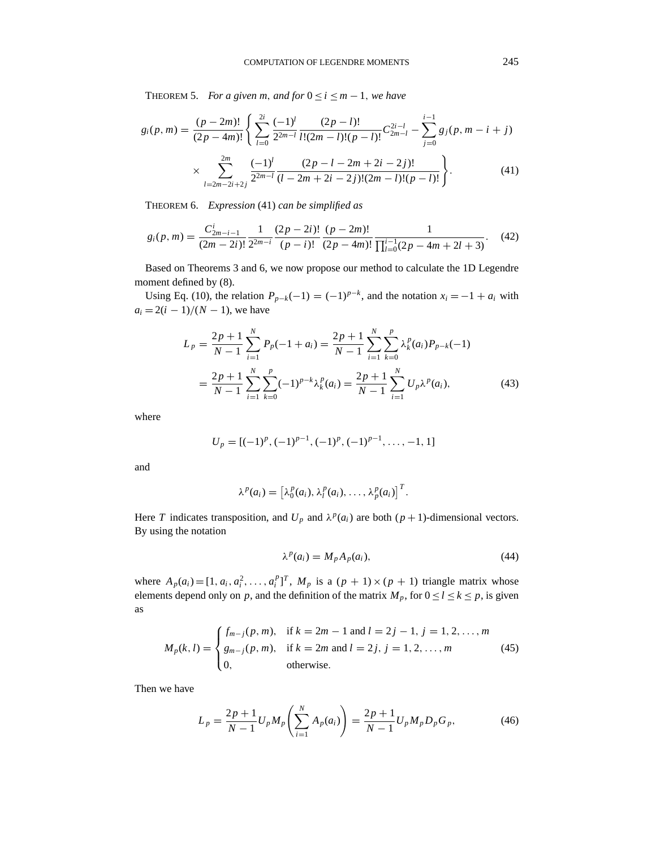THEOREM 5. *For a given m, and for*  $0 \le i \le m - 1$ *, we have* 

$$
g_i(p,m) = \frac{(p-2m)!}{(2p-4m)!} \left\{ \sum_{l=0}^{2i} \frac{(-1)^l}{2^{2m-l}} \frac{(2p-l)!}{l!(2m-l)!(p-l)!} C_{2m-l}^{2i-l} - \sum_{j=0}^{i-1} g_j(p,m-i+j) \right. \\ \times \sum_{l=2m-2i+2j}^{2m} \frac{(-1)^l}{2^{2m-l}} \frac{(2p-l-2m+2i-2j)!}{(l-2m+2i-2j)!(2m-l)!(p-l)!} \right\}.
$$
 (41)

THEOREM 6. *Expression* (41) *can be simplified as*

$$
g_i(p,m) = \frac{C_{2m-i-1}^i}{(2m-2i)!} \frac{1}{2^{2m-i}} \frac{(2p-2i)!}{(p-i)!} \frac{(p-2m)!}{(2p-4m)!} \frac{1}{\prod_{l=0}^{i-1} (2p-4m+2l+3)}.
$$
 (42)

Based on Theorems 3 and 6, we now propose our method to calculate the 1D Legendre moment defined by (8).

Using Eq. (10), the relation  $P_{p-k}(-1) = (-1)^{p-k}$ , and the notation  $x_i = -1 + a_i$  with  $a_i = 2(i - 1)/(N - 1)$ , we have

$$
L_p = \frac{2p+1}{N-1} \sum_{i=1}^{N} P_p(-1+a_i) = \frac{2p+1}{N-1} \sum_{i=1}^{N} \sum_{k=0}^{p} \lambda_k^p(a_i) P_{p-k}(-1)
$$
  
= 
$$
\frac{2p+1}{N-1} \sum_{i=1}^{N} \sum_{k=0}^{p} (-1)^{p-k} \lambda_k^p(a_i) = \frac{2p+1}{N-1} \sum_{i=1}^{N} U_p \lambda^p(a_i),
$$
 (43)

where

$$
U_p = [(-1)^p, (-1)^{p-1}, (-1)^p, (-1)^{p-1}, \ldots, -1, 1]
$$

and

$$
\lambda^{p}(a_i) = \left[\lambda_0^{p}(a_i), \lambda_l^{p}(a_i), \ldots, \lambda_p^{p}(a_i)\right]^T.
$$

Here *T* indicates transposition, and  $U_p$  and  $\lambda^p(a_i)$  are both  $(p+1)$ -dimensional vectors. By using the notation

$$
\lambda^p(a_i) = M_p A_p(a_i),\tag{44}
$$

where  $A_p(a_i) = [1, a_i, a_i^2, \dots, a_i^p]^T$ ,  $M_p$  is a  $(p + 1) \times (p + 1)$  triangle matrix whose elements depend only on *p*, and the definition of the matrix  $M_p$ , for  $0 \le l \le k \le p$ , is given as

$$
M_p(k, l) = \begin{cases} f_{m-j}(p, m), & \text{if } k = 2m - 1 \text{ and } l = 2j - 1, j = 1, 2, ..., m \\ g_{m-j}(p, m), & \text{if } k = 2m \text{ and } l = 2j, j = 1, 2, ..., m \\ 0, & \text{otherwise.} \end{cases}
$$
(45)

Then we have

$$
L_p = \frac{2p+1}{N-1} U_p M_p \left( \sum_{i=1}^N A_p(a_i) \right) = \frac{2p+1}{N-1} U_p M_p D_p G_p,
$$
 (46)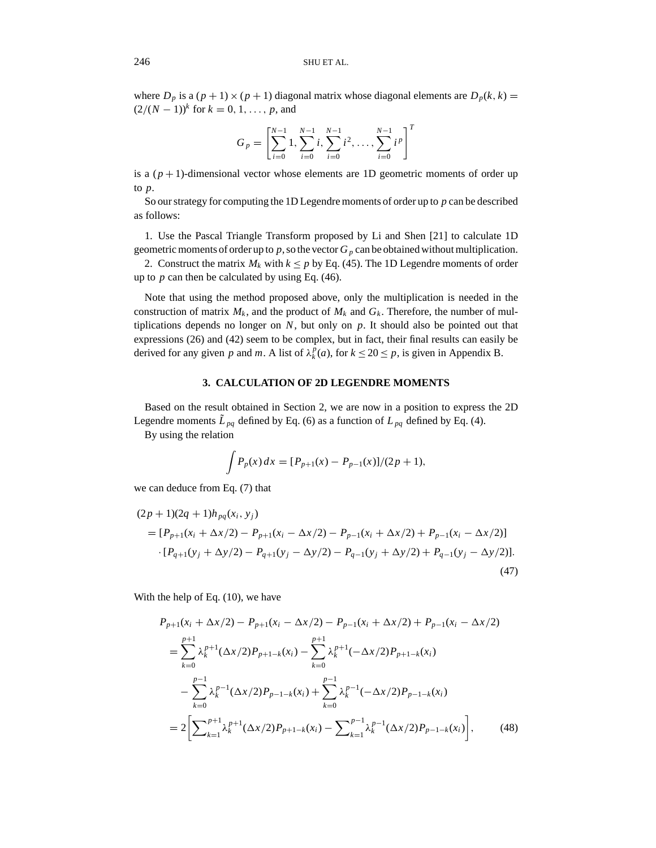where  $D_p$  is a  $(p + 1) \times (p + 1)$  diagonal matrix whose diagonal elements are  $D_p(k, k)$  $(2/(N-1))$ <sup>k</sup> for  $k = 0, 1, ..., p$ , and

$$
G_p = \left[\sum_{i=0}^{N-1} 1, \sum_{i=0}^{N-1} i, \sum_{i=0}^{N-1} i^2, \dots, \sum_{i=0}^{N-1} i^p\right]^T
$$

is a  $(p+1)$ -dimensional vector whose elements are 1D geometric moments of order up to *p*.

So our strategy for computing the 1D Legendre moments of order up to *p* can be described as follows:

1. Use the Pascal Triangle Transform proposed by Li and Shen [21] to calculate 1D geometric moments of order up to  $p$ , so the vector  $G_p$  can be obtained without multiplication.

2. Construct the matrix  $M_k$  with  $k \leq p$  by Eq. (45). The 1D Legendre moments of order up to  $p$  can then be calculated by using Eq.  $(46)$ .

Note that using the method proposed above, only the multiplication is needed in the construction of matrix  $M_k$ , and the product of  $M_k$  and  $G_k$ . Therefore, the number of multiplications depends no longer on *N*, but only on *p*. It should also be pointed out that expressions (26) and (42) seem to be complex, but in fact, their final results can easily be derived for any given *p* and *m*. A list of  $\lambda_k^p(a)$ , for  $k \le 20 \le p$ , is given in Appendix B.

#### **3. CALCULATION OF 2D LEGENDRE MOMENTS**

Based on the result obtained in Section 2, we are now in a position to express the 2D Legendre moments  $\tilde{L}_{pq}$  defined by Eq. (6) as a function of  $L_{pq}$  defined by Eq. (4).

By using the relation

$$
\int P_p(x) dx = [P_{p+1}(x) - P_{p-1}(x)]/(2p+1),
$$

we can deduce from Eq. (7) that

$$
(2p+1)(2q+1)h_{pq}(x_i, y_j)
$$
  
=  $[P_{p+1}(x_i + \Delta x/2) - P_{p+1}(x_i - \Delta x/2) - P_{p-1}(x_i + \Delta x/2) + P_{p-1}(x_i - \Delta x/2)]$   

$$
\cdot [P_{q+1}(y_j + \Delta y/2) - P_{q+1}(y_j - \Delta y/2) - P_{q-1}(y_j + \Delta y/2) + P_{q-1}(y_j - \Delta y/2)].
$$
\n(47)

With the help of Eq. (10), we have

$$
P_{p+1}(x_i + \Delta x/2) - P_{p+1}(x_i - \Delta x/2) - P_{p-1}(x_i + \Delta x/2) + P_{p-1}(x_i - \Delta x/2)
$$
  
\n
$$
= \sum_{k=0}^{p+1} \lambda_k^{p+1} (\Delta x/2) P_{p+1-k}(x_i) - \sum_{k=0}^{p+1} \lambda_k^{p+1} (-\Delta x/2) P_{p+1-k}(x_i)
$$
  
\n
$$
- \sum_{k=0}^{p-1} \lambda_k^{p-1} (\Delta x/2) P_{p-1-k}(x_i) + \sum_{k=0}^{p-1} \lambda_k^{p-1} (-\Delta x/2) P_{p-1-k}(x_i)
$$
  
\n
$$
= 2 \Biggl[ \sum_{k=1}^{p+1} \lambda_k^{p+1} (\Delta x/2) P_{p+1-k}(x_i) - \sum_{k=1}^{p-1} \lambda_k^{p-1} (\Delta x/2) P_{p-1-k}(x_i) \Biggr], \qquad (48)
$$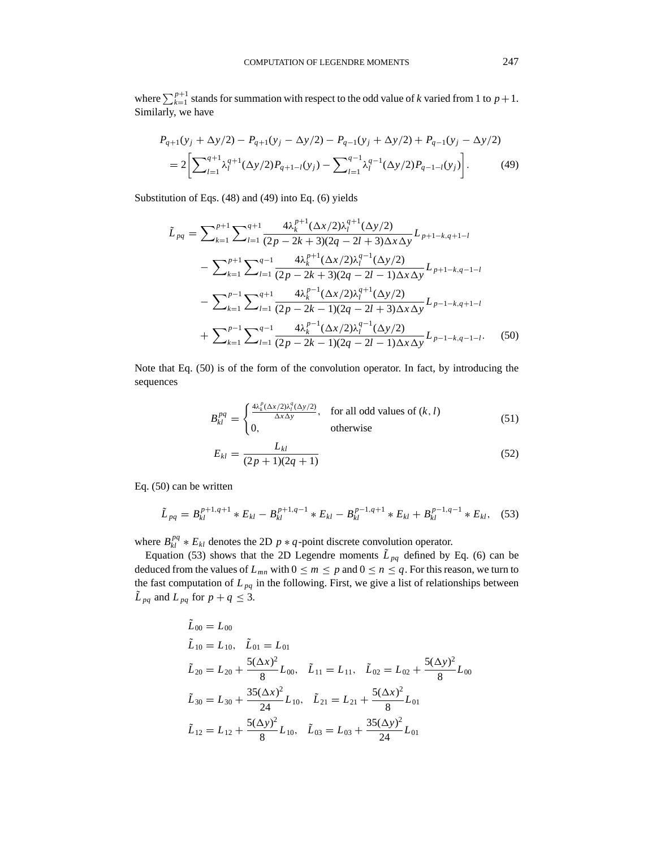where  $\sum_{k=1}^{p+1}$  stands for summation with respect to the odd value of *k* varied from 1 to  $p+1$ . Similarly, we have

$$
P_{q+1}(y_j + \Delta y/2) - P_{q+1}(y_j - \Delta y/2) - P_{q-1}(y_j + \Delta y/2) + P_{q-1}(y_j - \Delta y/2)
$$
  
= 
$$
2\left[\sum_{l=1}^{q+1} \lambda_l^{q+1} (\Delta y/2) P_{q+1-l}(y_j) - \sum_{l=1}^{q-1} \lambda_l^{q-1} (\Delta y/2) P_{q-1-l}(y_j)\right].
$$
 (49)

Substitution of Eqs. (48) and (49) into Eq. (6) yields

$$
\tilde{L}_{pq} = \sum_{k=1}^{p+1} \sum_{l=1}^{q+1} \frac{4\lambda_k^{p+1}(\Delta x/2)\lambda_l^{q+1}(\Delta y/2)}{(2p-2k+3)(2q-2l+3)\Delta x \Delta y} L_{p+1-k,q+1-l}
$$

$$
- \sum_{k=1}^{p+1} \sum_{l=1}^{q-1} \frac{4\lambda_k^{p+1}(\Delta x/2)\lambda_l^{q-1}(\Delta y/2)}{(2p-2k+3)(2q-2l-1)\Delta x \Delta y} L_{p+1-k,q-1-l}
$$

$$
- \sum_{k=1}^{p-1} \sum_{l=1}^{q+1} \frac{4\lambda_k^{p-1}(\Delta x/2)\lambda_l^{q+1}(\Delta y/2)}{(2p-2k-1)(2q-2l+3)\Delta x \Delta y} L_{p-1-k,q+1-l}
$$

$$
+ \sum_{k=1}^{p-1} \sum_{l=1}^{q-1} \frac{4\lambda_k^{p-1}(\Delta x/2)\lambda_l^{q-1}(\Delta y/2)}{(2p-2k-1)(2q-2l-1)\Delta x \Delta y} L_{p-1-k,q-1-l}.
$$
(50)

Note that Eq. (50) is of the form of the convolution operator. In fact, by introducing the sequences

$$
B_{kl}^{pq} = \begin{cases} \frac{4\lambda_k^p (\Delta x/2) \lambda_l^q (\Delta y/2)}{\Delta x \Delta y}, & \text{for all odd values of } (k, l) \\ 0, & \text{otherwise} \end{cases}
$$
(51)  

$$
E_{kl} = \frac{L_{kl}}{(2p+1)(2q+1)}
$$

Eq. (50) can be written

$$
\tilde{L}_{pq} = B_{kl}^{p+1,q+1} * E_{kl} - B_{kl}^{p+1,q-1} * E_{kl} - B_{kl}^{p-1,q+1} * E_{kl} + B_{kl}^{p-1,q-1} * E_{kl}, \quad (53)
$$

where  $B_{kl}^{pq} * E_{kl}$  denotes the 2D  $p * q$ -point discrete convolution operator.

Equation (53) shows that the 2D Legendre moments  $\tilde{L}_{pq}$  defined by Eq. (6) can be deduced from the values of  $L_{mn}$  with  $0 \le m \le p$  and  $0 \le n \le q$ . For this reason, we turn to the fast computation of  $L_{pq}$  in the following. First, we give a list of relationships between  $\tilde{L}_{pq}$  and  $L_{pq}$  for  $p + q \leq 3$ .

$$
\tilde{L}_{00} = L_{00}
$$
\n
$$
\tilde{L}_{10} = L_{10}, \quad \tilde{L}_{01} = L_{01}
$$
\n
$$
\tilde{L}_{20} = L_{20} + \frac{5(\Delta x)^2}{8} L_{00}, \quad \tilde{L}_{11} = L_{11}, \quad \tilde{L}_{02} = L_{02} + \frac{5(\Delta y)^2}{8} L_{00}
$$
\n
$$
\tilde{L}_{30} = L_{30} + \frac{35(\Delta x)^2}{24} L_{10}, \quad \tilde{L}_{21} = L_{21} + \frac{5(\Delta x)^2}{8} L_{01}
$$
\n
$$
\tilde{L}_{12} = L_{12} + \frac{5(\Delta y)^2}{8} L_{10}, \quad \tilde{L}_{03} = L_{03} + \frac{35(\Delta y)^2}{24} L_{01}
$$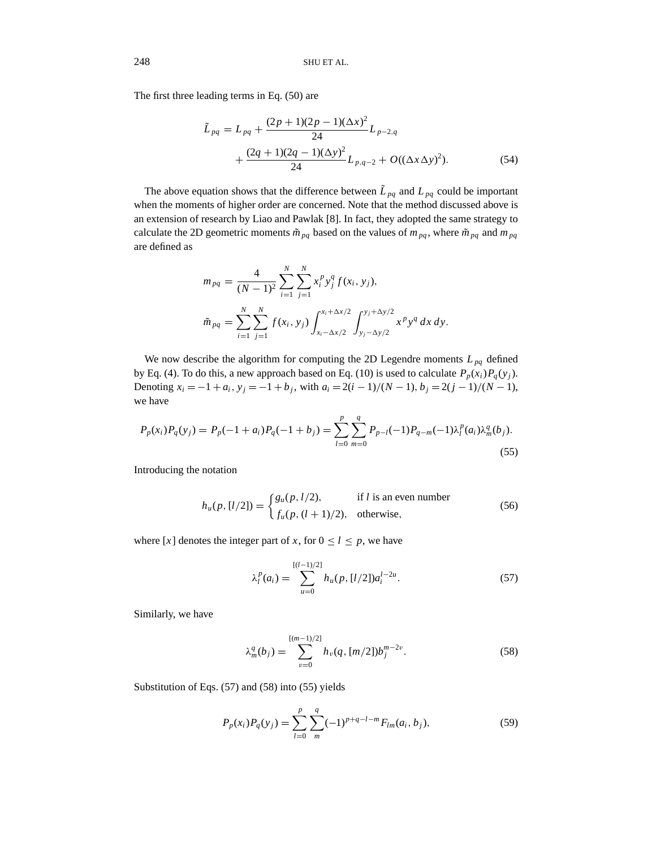The first three leading terms in Eq. (50) are

$$
\tilde{L}_{pq} = L_{pq} + \frac{(2p+1)(2p-1)(\Delta x)^2}{24} L_{p-2,q} \n+ \frac{(2q+1)(2q-1)(\Delta y)^2}{24} L_{p,q-2} + O((\Delta x \Delta y)^2).
$$
\n(54)

The above equation shows that the difference between  $\tilde{L}_{pq}$  and  $L_{pq}$  could be important when the moments of higher order are concerned. Note that the method discussed above is an extension of research by Liao and Pawlak [8]. In fact, they adopted the same strategy to calculate the 2D geometric moments  $\tilde{m}_{pq}$  based on the values of  $m_{pq}$ , where  $\tilde{m}_{pq}$  and  $m_{pq}$ are defined as

$$
m_{pq} = \frac{4}{(N-1)^2} \sum_{i=1}^{N} \sum_{j=1}^{N} x_i^p y_j^q f(x_i, y_j),
$$
  

$$
\tilde{m}_{pq} = \sum_{i=1}^{N} \sum_{j=1}^{N} f(x_i, y_j) \int_{x_i - \Delta x/2}^{x_i + \Delta x/2} \int_{y_j - \Delta y/2}^{y_j + \Delta y/2} x^p y^q dx dy.
$$

We now describe the algorithm for computing the 2D Legendre moments  $L_{pq}$  defined by Eq. (4). To do this, a new approach based on Eq. (10) is used to calculate  $P_p(x_i)P_q(y_j)$ . Denoting  $x_i = -1 + a_i$ ,  $y_j = -1 + b_j$ , with  $a_i = 2(i − 1)/(N − 1)$ ,  $b_j = 2(j − 1)/(N − 1)$ , we have

$$
P_p(x_i)P_q(y_j) = P_p(-1+a_i)P_q(-1+b_j) = \sum_{l=0}^p \sum_{m=0}^q P_{p-l}(-1)P_{q-m}(-1)\lambda_l^p(a_i)\lambda_m^q(b_j).
$$
\n(55)

Introducing the notation

$$
h_u(p, [l/2]) = \begin{cases} g_u(p, l/2), & \text{if } l \text{ is an even number} \\ f_u(p, (l+1)/2), & \text{otherwise,} \end{cases}
$$
(56)

where [x] denotes the integer part of x, for  $0 \le l \le p$ , we have

$$
\lambda_l^p(a_i) = \sum_{u=0}^{[(l-1)/2]} h_u(p, [l/2]) a_i^{l-2u}.
$$
 (57)

Similarly, we have

$$
\lambda_m^q(b_j) = \sum_{v=0}^{[(m-1)/2]} h_v(q, [m/2]) b_j^{m-2v}.
$$
 (58)

Substitution of Eqs. (57) and (58) into (55) yields

$$
P_p(x_i)P_q(y_j) = \sum_{l=0}^p \sum_{m}^q (-1)^{p+q-l-m} F_{lm}(a_i, b_j),
$$
\n(59)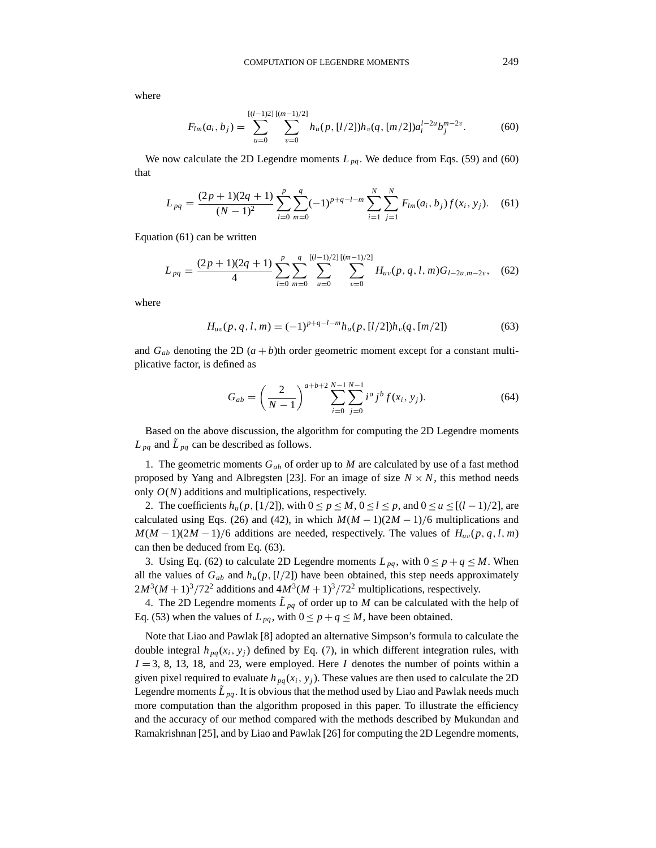where

$$
F_{lm}(a_i, b_j) = \sum_{u=0}^{[(l-1)2] \, [(m-1)/2]} \sum_{v=0}^{[(m-1)/2]} h_u(p, [l/2]) h_v(q, [m/2]) a_i^{l-2u} b_j^{m-2v}.
$$
 (60)

We now calculate the 2D Legendre moments  $L_{pa}$ . We deduce from Eqs. (59) and (60) that

$$
L_{pq} = \frac{(2p+1)(2q+1)}{(N-1)^2} \sum_{l=0}^{p} \sum_{m=0}^{q} (-1)^{p+q-l-m} \sum_{i=1}^{N} \sum_{j=1}^{N} F_{lm}(a_i, b_j) f(x_i, y_j). \tag{61}
$$

Equation (61) can be written

$$
L_{pq} = \frac{(2p+1)(2q+1)}{4} \sum_{l=0}^{p} \sum_{m=0}^{q} \sum_{u=0}^{[(l-1)/2]} \sum_{v=0}^{[(m-1)/2]} H_{uv}(p,q,l,m) G_{l-2u,m-2v}, \quad (62)
$$

where

$$
H_{uv}(p,q,l,m) = (-1)^{p+q-l-m} h_u(p,[l/2])h_v(q,[m/2])
$$
\n(63)

and  $G_{ab}$  denoting the 2D  $(a + b)$ th order geometric moment except for a constant multiplicative factor, is defined as

$$
G_{ab} = \left(\frac{2}{N-1}\right)^{a+b+2} \sum_{i=0}^{N-1} \sum_{j=0}^{N-1} i^a j^b f(x_i, y_j). \tag{64}
$$

Based on the above discussion, the algorithm for computing the 2D Legendre moments  $L_{pq}$  and  $L_{pq}$  can be described as follows.

1. The geometric moments  $G_{ab}$  of order up to *M* are calculated by use of a fast method proposed by Yang and Albregsten [23]. For an image of size  $N \times N$ , this method needs only *O*(*N*) additions and multiplications, respectively.

2. The coefficients  $h_u(p, [1/2])$ , with  $0 \le p \le M$ ,  $0 \le l \le p$ , and  $0 \le u \le [(l-1)/2]$ , are calculated using Eqs. (26) and (42), in which  $M(M-1)(2M-1)/6$  multiplications and  $M(M-1)(2M-1)/6$  additions are needed, respectively. The values of  $H_{uv}(p, q, l, m)$ can then be deduced from Eq. (63).

3. Using Eq. (62) to calculate 2D Legendre moments  $L_{pq}$ , with  $0 \le p + q \le M$ . When all the values of  $G_{ab}$  and  $h_u(p, [l/2])$  have been obtained, this step needs approximately  $2M^3(M+1)^3/72^2$  additions and  $4M^3(M+1)^3/72^2$  multiplications, respectively.

4. The 2D Legendre moments  $\tilde{L}_{pa}$  of order up to *M* can be calculated with the help of Eq. (53) when the values of  $L_{pq}$ , with  $0 \le p + q \le M$ , have been obtained.

Note that Liao and Pawlak [8] adopted an alternative Simpson's formula to calculate the double integral  $h_{pq}(x_i, y_j)$  defined by Eq. (7), in which different integration rules, with  $I = 3, 8, 13, 18,$  and 23, were employed. Here *I* denotes the number of points within a given pixel required to evaluate  $h_{pq}(x_i, y_j)$ . These values are then used to calculate the 2D Legendre moments  $\tilde{L}_{pq}$ . It is obvious that the method used by Liao and Pawlak needs much more computation than the algorithm proposed in this paper. To illustrate the efficiency and the accuracy of our method compared with the methods described by Mukundan and Ramakrishnan [25], and by Liao and Pawlak [26] for computing the 2D Legendre moments,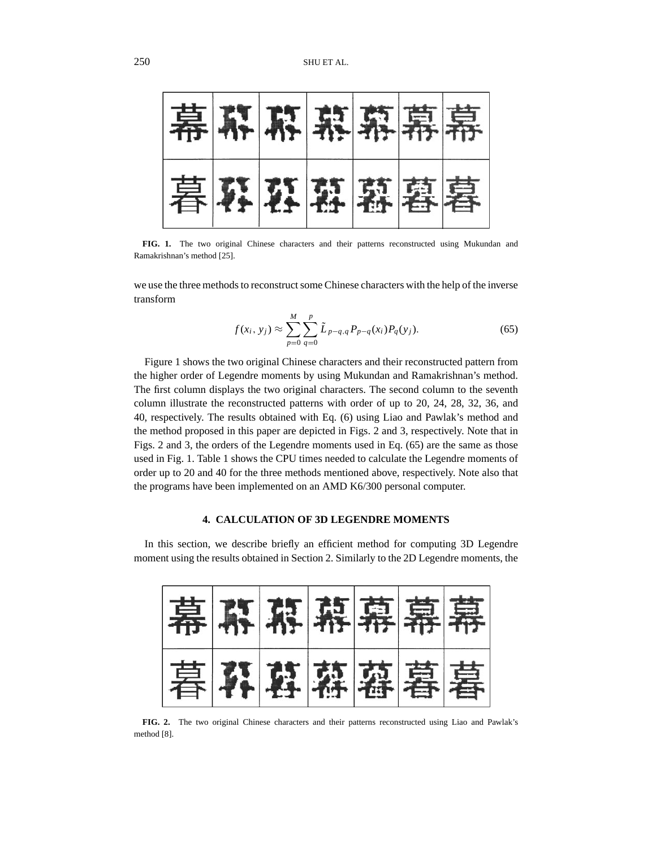

**FIG. 1.** The two original Chinese characters and their patterns reconstructed using Mukundan and Ramakrishnan's method [25].

we use the three methods to reconstruct some Chinese characters with the help of the inverse transform

$$
f(x_i, y_j) \approx \sum_{p=0}^{M} \sum_{q=0}^{p} \tilde{L}_{p-q,q} P_{p-q}(x_i) P_q(y_j).
$$
 (65)

Figure 1 shows the two original Chinese characters and their reconstructed pattern from the higher order of Legendre moments by using Mukundan and Ramakrishnan's method. The first column displays the two original characters. The second column to the seventh column illustrate the reconstructed patterns with order of up to 20, 24, 28, 32, 36, and 40, respectively. The results obtained with Eq. (6) using Liao and Pawlak's method and the method proposed in this paper are depicted in Figs. 2 and 3, respectively. Note that in Figs. 2 and 3, the orders of the Legendre moments used in Eq. (65) are the same as those used in Fig. 1. Table 1 shows the CPU times needed to calculate the Legendre moments of order up to 20 and 40 for the three methods mentioned above, respectively. Note also that the programs have been implemented on an AMD K6/300 personal computer.

# **4. CALCULATION OF 3D LEGENDRE MOMENTS**

In this section, we describe briefly an efficient method for computing 3D Legendre moment using the results obtained in Section 2. Similarly to the 2D Legendre moments, the

| 幕府麻麻幕幕幕 |        |  |  |
|---------|--------|--|--|
|         | 暮野喜喜喜喜 |  |  |

**FIG. 2.** The two original Chinese characters and their patterns reconstructed using Liao and Pawlak's method [8].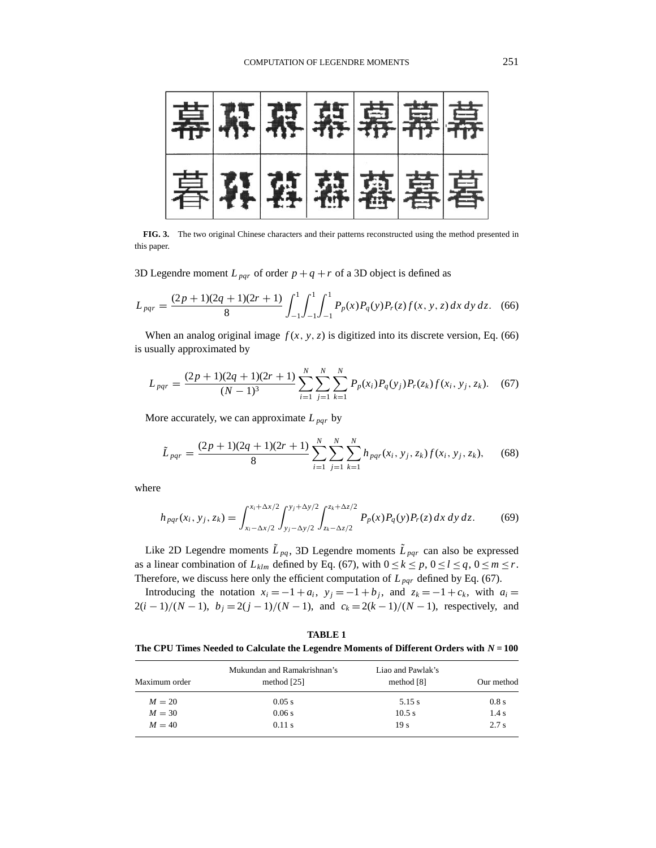

**FIG. 3.** The two original Chinese characters and their patterns reconstructed using the method presented in this paper.

3D Legendre moment  $L_{par}$  of order  $p + q + r$  of a 3D object is defined as

$$
L_{pqr} = \frac{(2p+1)(2q+1)(2r+1)}{8} \int_{-1}^{1} \int_{-1}^{1} \int_{-1}^{1} P_p(x) P_q(y) P_r(z) f(x, y, z) dx dy dz.
$$
 (66)

When an analog original image  $f(x, y, z)$  is digitized into its discrete version, Eq. (66) is usually approximated by

$$
L_{pqr} = \frac{(2p+1)(2q+1)(2r+1)}{(N-1)^3} \sum_{i=1}^{N} \sum_{j=1}^{N} \sum_{k=1}^{N} P_p(x_i) P_q(y_j) P_r(z_k) f(x_i, y_j, z_k). \tag{67}
$$

More accurately, we can approximate  $L_{\text{pqr}}$  by

$$
\tilde{L}_{pqr} = \frac{(2p+1)(2q+1)(2r+1)}{8} \sum_{i=1}^{N} \sum_{j=1}^{N} \sum_{k=1}^{N} h_{pqr}(x_i, y_j, z_k) f(x_i, y_j, z_k), \quad (68)
$$

where

$$
h_{pqr}(x_i, y_j, z_k) = \int_{x_i - \Delta x/2}^{x_i + \Delta x/2} \int_{y_j - \Delta y/2}^{y_j + \Delta y/2} \int_{z_k - \Delta z/2}^{z_k + \Delta z/2} P_p(x) P_q(y) P_r(z) dx dy dz.
$$
 (69)

Like 2D Legendre moments  $\tilde{L}_{pq}$ , 3D Legendre moments  $\tilde{L}_{pqr}$  can also be expressed as a linear combination of  $L_{klm}$  defined by Eq. (67), with  $0 \le k \le p$ ,  $0 \le l \le q$ ,  $0 \le m \le r$ . Therefore, we discuss here only the efficient computation of  $L_{\text{pqr}}$  defined by Eq. (67).

Introducing the notation  $x_i = -1 + a_i$ ,  $y_j = -1 + b_j$ , and  $z_k = -1 + c_k$ , with  $a_i =$ 2(*i* − 1)/(*N* − 1),  $b_j = 2(j - 1)/(N - 1)$ , and  $c_k = 2(k - 1)/(N - 1)$ , respectively, and

**TABLE 1 The CPU Times Needed to Calculate the Legendre Moments of Different Orders with** *N* **= 100**

| Maximum order | Mukundan and Ramakrishnan's<br>method [25] | Liao and Pawlak's<br>method [8] | Our method<br>0.8 s |
|---------------|--------------------------------------------|---------------------------------|---------------------|
| $M = 20$      | 0.05 s                                     | 5.15 s                          |                     |
| $M = 30$      | 0.06 s                                     | 10.5 s                          | 1.4 s               |
| $M = 40$      | 0.11 s                                     | 19 <sub>s</sub>                 | 2.7s                |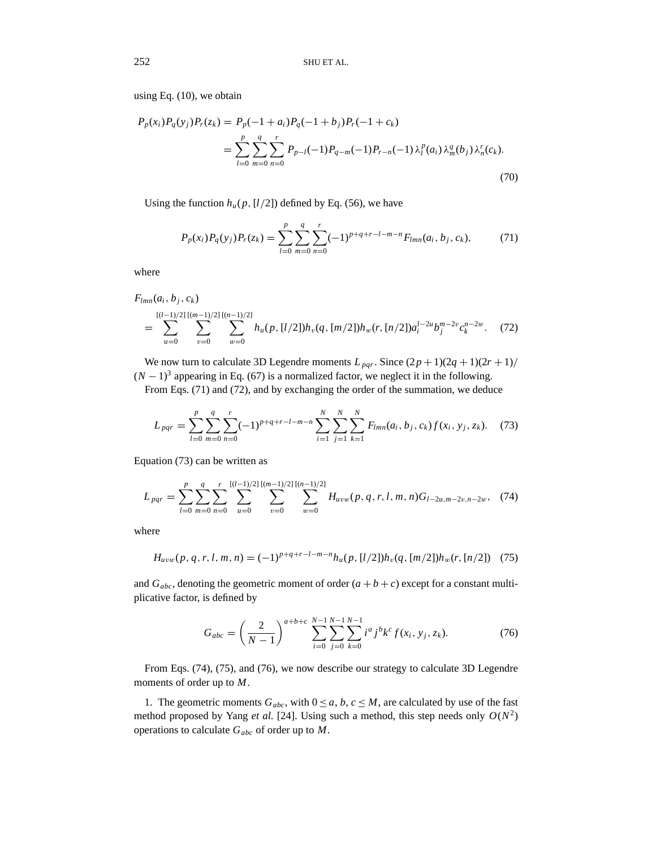using Eq. (10), we obtain

$$
P_p(x_i)P_q(y_j)P_r(z_k) = P_p(-1 + a_i)P_q(-1 + b_j)P_r(-1 + c_k)
$$
  
= 
$$
\sum_{l=0}^p \sum_{m=0}^q \sum_{n=0}^r P_{p-l}(-1)P_{q-m}(-1)P_{r-n}(-1)\lambda_l^p(a_i)\lambda_m^q(b_j)\lambda_n^r(c_k).
$$
 (70)

Using the function  $h_u(p, [l/2])$  defined by Eq. (56), we have

$$
P_p(x_i)P_q(y_j)P_r(z_k) = \sum_{l=0}^p \sum_{m=0}^q \sum_{n=0}^r (-1)^{p+q+r-l-m-n} F_{lmn}(a_i, b_j, c_k),
$$
(71)

where

$$
F_{lmn}(a_i, b_j, c_k)
$$
  
= 
$$
\sum_{u=0}^{[(l-1)/2]}\sum_{v=0}^{[(m-1)/2]} \sum_{w=0}^{[(n-1)/2]} h_u(p, [l/2])h_v(q, [m/2])h_w(r, [n/2])a_i^{l-2u}b_j^{m-2v}c_k^{n-2w}.
$$
 (72)

We now turn to calculate 3D Legendre moments  $L_{pqr}$ . Since  $(2p + 1)(2q + 1)(2r + 1)$  $(N-1)^3$  appearing in Eq. (67) is a normalized factor, we neglect it in the following.

From Eqs. (71) and (72), and by exchanging the order of the summation, we deduce

$$
L_{pqr} = \sum_{l=0}^{p} \sum_{m=0}^{q} \sum_{n=0}^{r} (-1)^{p+q+r-l-m-n} \sum_{i=1}^{N} \sum_{j=1}^{N} \sum_{k=1}^{N} F_{lmn}(a_i, b_j, c_k) f(x_i, y_j, z_k).
$$
 (73)

Equation (73) can be written as

$$
L_{pqr} = \sum_{l=0}^{p} \sum_{m=0}^{q} \sum_{n=0}^{r} \sum_{u=0}^{[(l-1)/2] \, [(m-1)/2] \, [(n-1)/2]} \sum_{w=0}^{[(n-1)/2]} H_{uvw}(p, q, r, l, m, n) G_{l-2u, m-2v, n-2w}, \quad (74)
$$

where

$$
H_{uvw}(p,q,r,l,m,n) = (-1)^{p+q+r-l-m-n} h_u(p,[l/2]) h_v(q,[m/2]) h_w(r,[n/2]) \quad (75)
$$

and  $G_{abc}$ , denoting the geometric moment of order  $(a + b + c)$  except for a constant multiplicative factor, is defined by

$$
G_{abc} = \left(\frac{2}{N-1}\right)^{a+b+c} \sum_{i=0}^{N-1} \sum_{j=0}^{N-1} \sum_{k=0}^{N-1} i^a j^b k^c f(x_i, y_j, z_k).
$$
 (76)

From Eqs. (74), (75), and (76), we now describe our strategy to calculate 3D Legendre moments of order up to *M*.

1. The geometric moments  $G_{abc}$ , with  $0 \le a, b, c \le M$ , are calculated by use of the fast method proposed by Yang *et al.* [24]. Using such a method, this step needs only  $O(N^2)$ operations to calculate *Gabc* of order up to *M*.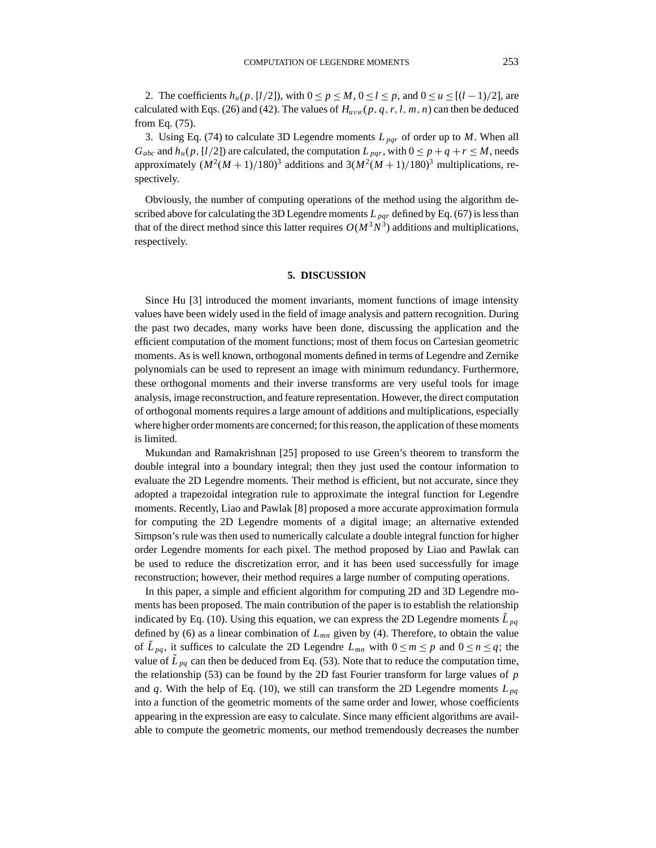2. The coefficients  $h_u(p, [l/2])$ , with  $0 \le p \le M$ ,  $0 \le l \le p$ , and  $0 \le u \le [(l-1)/2]$ , are calculated with Eqs. (26) and (42). The values of  $H_{uvw}(p, q, r, l, m, n)$  can then be deduced from Eq. (75).

3. Using Eq. (74) to calculate 3D Legendre moments *L pqr* of order up to *M*. When all *G<sub>abc</sub>* and  $h_u(p, [l/2])$  are calculated, the computation  $L_{pqr}$ , with  $0 \le p + q + r \le M$ , needs approximately  $(M^2(M+1)/180)^3$  additions and  $3(M^2(M+1)/180)^3$  multiplications, respectively.

Obviously, the number of computing operations of the method using the algorithm described above for calculating the 3D Legendre moments  $L_{pqr}$  defined by Eq. (67) is less than that of the direct method since this latter requires  $O(M^3 N^3)$  additions and multiplications, respectively.

#### **5. DISCUSSION**

Since Hu [3] introduced the moment invariants, moment functions of image intensity values have been widely used in the field of image analysis and pattern recognition. During the past two decades, many works have been done, discussing the application and the efficient computation of the moment functions; most of them focus on Cartesian geometric moments. As is well known, orthogonal moments defined in terms of Legendre and Zernike polynomials can be used to represent an image with minimum redundancy. Furthermore, these orthogonal moments and their inverse transforms are very useful tools for image analysis, image reconstruction, and feature representation. However, the direct computation of orthogonal moments requires a large amount of additions and multiplications, especially where higher order moments are concerned; for this reason, the application of these moments is limited.

Mukundan and Ramakrishnan [25] proposed to use Green's theorem to transform the double integral into a boundary integral; then they just used the contour information to evaluate the 2D Legendre moments. Their method is efficient, but not accurate, since they adopted a trapezoidal integration rule to approximate the integral function for Legendre moments. Recently, Liao and Pawlak [8] proposed a more accurate approximation formula for computing the 2D Legendre moments of a digital image; an alternative extended Simpson's rule was then used to numerically calculate a double integral function for higher order Legendre moments for each pixel. The method proposed by Liao and Pawlak can be used to reduce the discretization error, and it has been used successfully for image reconstruction; however, their method requires a large number of computing operations.

In this paper, a simple and efficient algorithm for computing 2D and 3D Legendre moments has been proposed. The main contribution of the paper is to establish the relationship indicated by Eq. (10). Using this equation, we can express the 2D Legendre moments  $\tilde{L}_{pq}$ defined by (6) as a linear combination of  $L_{mn}$  given by (4). Therefore, to obtain the value of  $\tilde{L}_{pq}$ , it suffices to calculate the 2D Legendre  $L_{mn}$  with  $0 \le m \le p$  and  $0 \le n \le q$ ; the value of  $\tilde{L}_{pq}$  can then be deduced from Eq. (53). Note that to reduce the computation time, the relationship (53) can be found by the 2D fast Fourier transform for large values of *p* and *q*. With the help of Eq. (10), we still can transform the 2D Legendre moments  $L_{pq}$ into a function of the geometric moments of the same order and lower, whose coefficients appearing in the expression are easy to calculate. Since many efficient algorithms are available to compute the geometric moments, our method tremendously decreases the number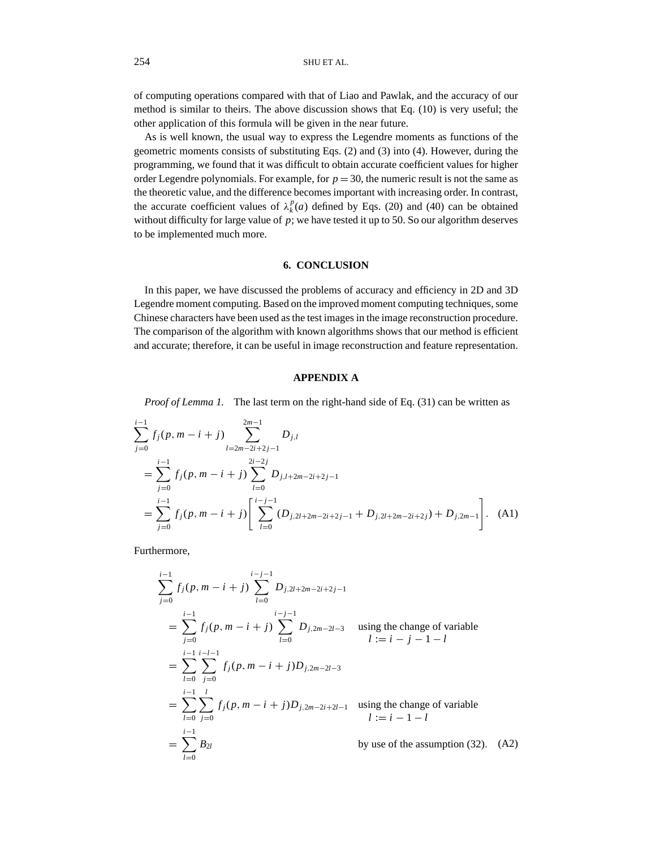of computing operations compared with that of Liao and Pawlak, and the accuracy of our method is similar to theirs. The above discussion shows that Eq. (10) is very useful; the other application of this formula will be given in the near future.

As is well known, the usual way to express the Legendre moments as functions of the geometric moments consists of substituting Eqs. (2) and (3) into (4). However, during the programming, we found that it was difficult to obtain accurate coefficient values for higher order Legendre polynomials. For example, for  $p = 30$ , the numeric result is not the same as the theoretic value, and the difference becomes important with increasing order. In contrast, the accurate coefficient values of  $\lambda_k^p(a)$  defined by Eqs. (20) and (40) can be obtained without difficulty for large value of  $p$ ; we have tested it up to 50. So our algorithm deserves to be implemented much more.

# **6. CONCLUSION**

In this paper, we have discussed the problems of accuracy and efficiency in 2D and 3D Legendre moment computing. Based on the improved moment computing techniques, some Chinese characters have been used as the test images in the image reconstruction procedure. The comparison of the algorithm with known algorithms shows that our method is efficient and accurate; therefore, it can be useful in image reconstruction and feature representation.

# **APPENDIX A**

*Proof of Lemma 1.* The last term on the right-hand side of Eq. (31) can be written as

$$
\sum_{j=0}^{i-1} f_j(p, m - i + j) \sum_{l=2m-2i+2j-1}^{2m-1} D_{j,l}
$$
  
= 
$$
\sum_{j=0}^{i-1} f_j(p, m - i + j) \sum_{l=0}^{2i-2j} D_{j,l+2m-2i+2j-1}
$$
  
= 
$$
\sum_{j=0}^{i-1} f_j(p, m - i + j) \left[ \sum_{l=0}^{i-j-1} (D_{j,2l+2m-2i+2j-1} + D_{j,2l+2m-2i+2j}) + D_{j,2m-1} \right].
$$
 (A1)

Furthermore,

$$
\sum_{j=0}^{i-1} f_j(p, m - i + j) \sum_{l=0}^{i-j-1} D_{j,2l+2m-2i+2j-1}
$$
  
= 
$$
\sum_{j=0}^{i-1} f_j(p, m - i + j) \sum_{l=0}^{i-j-1} D_{j,2m-2l-3}
$$
 using the change of variable  

$$
l := i - j - 1 - l
$$
  
= 
$$
\sum_{l=0}^{i-1} \sum_{j=0}^{i-l-1} f_j(p, m - i + j) D_{j,2m-2l-3}
$$
  
= 
$$
\sum_{l=0}^{i-1} \sum_{j=0}^{l} f_j(p, m - i + j) D_{j,2m-2i+2l-1}
$$
 using the change of variable  

$$
l := i - 1 - l
$$
  
= 
$$
\sum_{l=0}^{i-1} B_{2l}
$$
 by use of the assumption (32). (A2)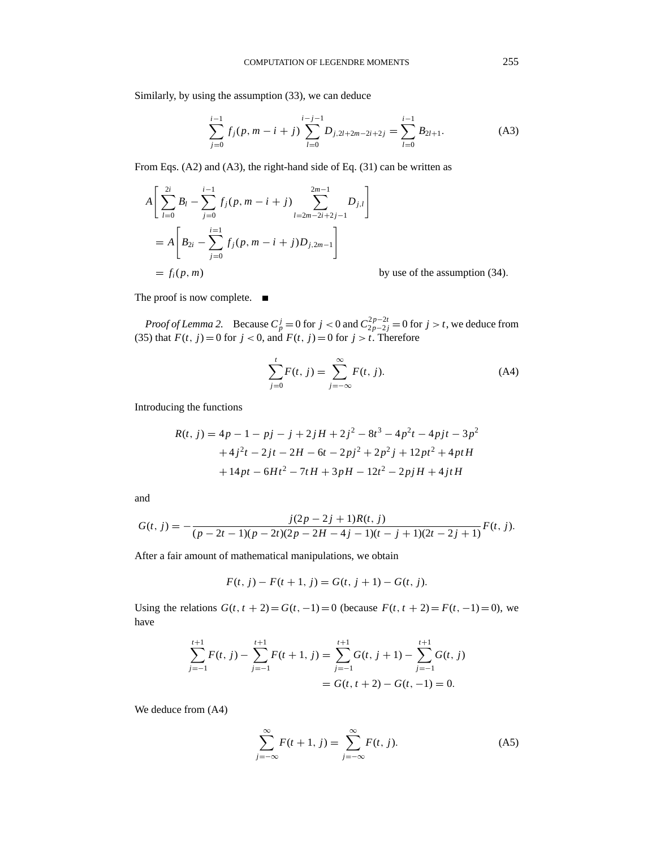$$
\sum_{j=0}^{i-1} f_j(p, m-i+j) \sum_{l=0}^{i-j-1} D_{j,2l+2m-2i+2j} = \sum_{l=0}^{i-1} B_{2l+1}.
$$
 (A3)

From Eqs. (A2) and (A3), the right-hand side of Eq. (31) can be written as

$$
A\left[\sum_{l=0}^{2i} B_l - \sum_{j=0}^{i-1} f_j(p, m-i+j) \sum_{l=2m-2i+2j-1}^{2m-1} D_{j,l}\right]
$$
  
=  $A\left[B_{2i} - \sum_{j=0}^{i=1} f_j(p, m-i+j)D_{j,2m-1}\right]$   
=  $f_i(p, m)$ 

by use of the assumption (34).

The proof is now complete.  $\blacksquare$ 

*Proof of Lemma 2.* Because  $C_p^j = 0$  for  $j < 0$  and  $C_{2p-2j}^{2p-2t} = 0$  for  $j > t$ , we deduce from (35) that  $F(t, j) = 0$  for  $j < 0$ , and  $F(t, j) = 0$  for  $j > t$ . Therefore

$$
\sum_{j=0}^{t} F(t, j) = \sum_{j=-\infty}^{\infty} F(t, j).
$$
 (A4)

Introducing the functions

$$
R(t, j) = 4p - 1 - pj - j + 2jH + 2j2 - 8t3 - 4p2t - 4pjt - 3p2
$$
  
+4j<sup>2</sup>t - 2jt - 2H - 6t - 2pj<sup>2</sup> + 2p<sup>2</sup>j + 12pt<sup>2</sup> + 4ptH  
+14pt - 6Ht<sup>2</sup> - 7tH + 3pH - 12t<sup>2</sup> - 2pjH + 4jtH

and

$$
G(t, j) = -\frac{j(2p-2j+1)R(t, j)}{(p-2t-1)(p-2t)(2p-2H-4j-1)(t-j+1)(2t-2j+1)}F(t, j).
$$

After a fair amount of mathematical manipulations, we obtain

$$
F(t, j) - F(t + 1, j) = G(t, j + 1) - G(t, j).
$$

Using the relations  $G(t, t + 2) = G(t, -1) = 0$  (because  $F(t, t + 2) = F(t, -1) = 0$ ), we have

$$
\sum_{j=-1}^{t+1} F(t, j) - \sum_{j=-1}^{t+1} F(t+1, j) = \sum_{j=-1}^{t+1} G(t, j+1) - \sum_{j=-1}^{t+1} G(t, j)
$$

$$
= G(t, t+2) - G(t, -1) = 0.
$$

We deduce from (A4)

$$
\sum_{j=-\infty}^{\infty} F(t+1, j) = \sum_{j=-\infty}^{\infty} F(t, j).
$$
 (A5)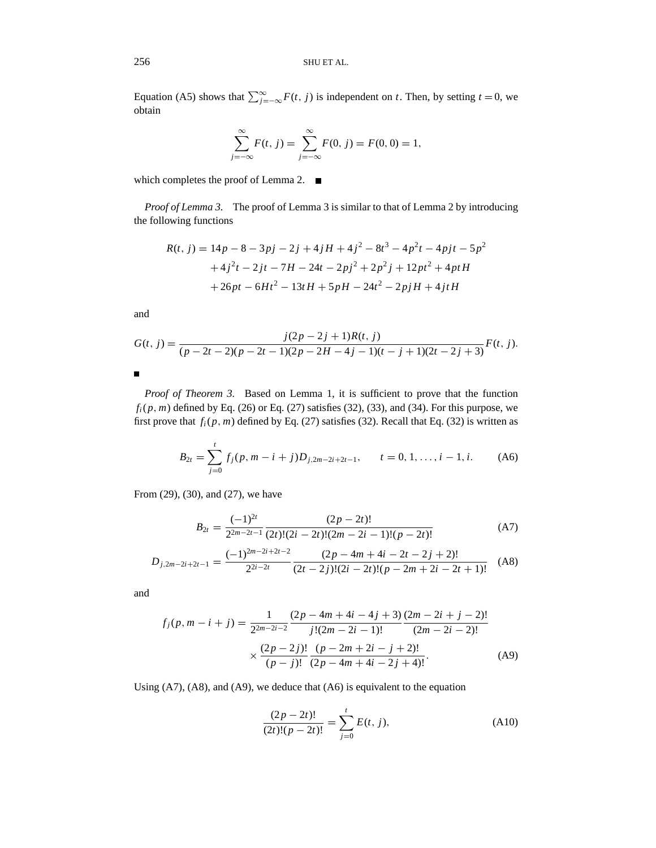Equation (A5) shows that  $\sum_{j=-\infty}^{\infty} F(t, j)$  is independent on *t*. Then, by setting *t* = 0, we obtain

$$
\sum_{j=-\infty}^{\infty} F(t, j) = \sum_{j=-\infty}^{\infty} F(0, j) = F(0, 0) = 1,
$$

which completes the proof of Lemma 2.  $\blacksquare$ 

*Proof of Lemma 3.* The proof of Lemma 3 is similar to that of Lemma 2 by introducing the following functions

$$
R(t, j) = 14p - 8 - 3pj - 2j + 4jH + 4j^{2} - 8t^{3} - 4p^{2}t - 4pjt - 5p^{2}
$$
  
+4j<sup>2</sup>t - 2jt - 7H - 24t - 2pj<sup>2</sup> + 2p<sup>2</sup>j + 12pt<sup>2</sup> + 4ptH  
+26pt - 6Ht<sup>2</sup> - 13tH + 5pH - 24t<sup>2</sup> - 2pjH + 4jtH

and

$$
G(t, j) = \frac{j(2p - 2j + 1)R(t, j)}{(p - 2t - 2)(p - 2t - 1)(2p - 2H - 4j - 1)(t - j + 1)(2t - 2j + 3)}F(t, j).
$$

П

*Proof of Theorem 3.* Based on Lemma 1, it is sufficient to prove that the function  $f_i(p, m)$  defined by Eq. (26) or Eq. (27) satisfies (32), (33), and (34). For this purpose, we first prove that  $f_i(p, m)$  defined by Eq. (27) satisfies (32). Recall that Eq. (32) is written as

$$
B_{2t} = \sum_{j=0}^{t} f_j(p, m-i+j)D_{j,2m-2i+2t-1}, \qquad t = 0, 1, \dots, i-1, i. \tag{A6}
$$

From (29), (30), and (27), we have

$$
B_{2t} = \frac{(-1)^{2t}}{2^{2m-2t-1}} \frac{(2p-2t)!}{(2t)!(2i-2t)!(2m-2i-1)!(p-2t)!}
$$
(A7)

$$
D_{j,2m-2i+2t-1} = \frac{(-1)^{2m-2i+2t-2}}{2^{2i-2t}} \frac{(2p-4m+4i-2t-2j+2)!}{(2t-2j)!(2i-2t)!(p-2m+2i-2t+1)!}
$$
 (A8)

and

$$
f_j(p, m-i+j) = \frac{1}{2^{2m-2i-2}} \frac{(2p-4m+4i-4j+3)}{j!(2m-2i-1)!} \frac{(2m-2i+j-2)!}{(2m-2i-2)!}
$$

$$
\times \frac{(2p-2j)!}{(p-j)!} \frac{(p-2m+2i-j+2)!}{(2p-4m+4i-2j+4)!}.
$$
(A9)

Using (A7), (A8), and (A9), we deduce that (A6) is equivalent to the equation

$$
\frac{(2p-2t)!}{(2t)!(p-2t)!} = \sum_{j=0}^{t} E(t, j),
$$
 (A10)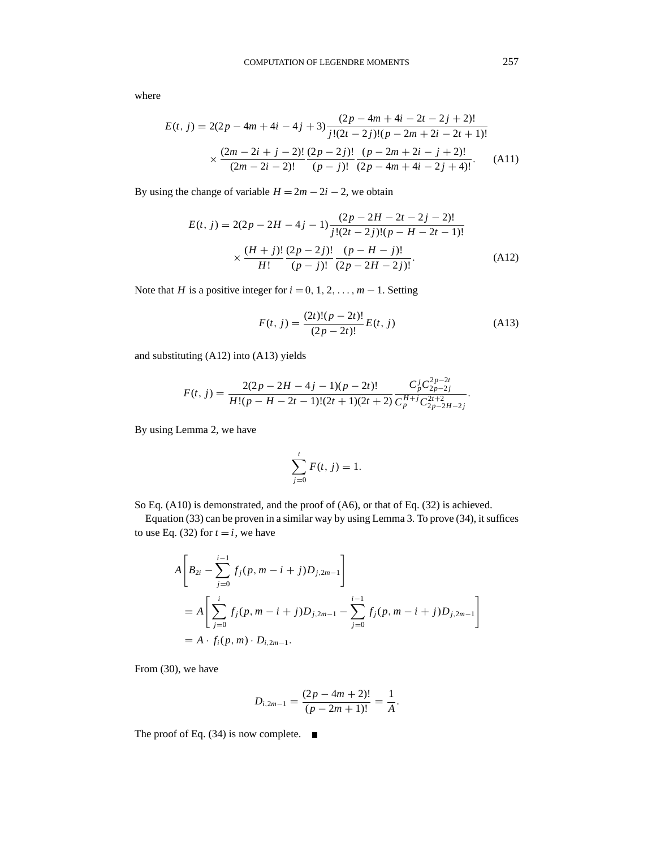where

$$
E(t, j) = 2(2p - 4m + 4i - 4j + 3) \frac{(2p - 4m + 4i - 2t - 2j + 2)!}{j!(2t - 2j)!(p - 2m + 2i - 2t + 1)!}
$$

$$
\times \frac{(2m - 2i + j - 2)!}{(2m - 2i - 2)!} \frac{(2p - 2j)!}{(p - j)!} \frac{(p - 2m + 2i - j + 2)!}{(2p - 4m + 4i - 2j + 4)!}.
$$
(A11)

By using the change of variable  $H = 2m - 2i - 2$ , we obtain

$$
E(t, j) = 2(2p - 2H - 4j - 1) \frac{(2p - 2H - 2t - 2j - 2)!}{j!(2t - 2j)!(p - H - 2t - 1)!}
$$

$$
\times \frac{(H + j)!}{H!} \frac{(2p - 2j)!}{(p - j)!} \frac{(p - H - j)!}{(2p - 2H - 2j)!}.
$$
(A12)

Note that *H* is a positive integer for  $i = 0, 1, 2, \ldots, m - 1$ . Setting

$$
F(t, j) = \frac{(2t)!(p - 2t)!}{(2p - 2t)!}E(t, j)
$$
\n(A13)

and substituting (A12) into (A13) yields

$$
F(t, j) = \frac{2(2p - 2H - 4j - 1)(p - 2t)!}{H!(p - H - 2t - 1)!(2t + 1)(2t + 2)} \frac{C_p^j C_{2p - 2j}^{2p - 2t}}{C_p^{H+j} C_{2p - 2H - 2j}^{2t + 2}}.
$$

By using Lemma 2, we have

$$
\sum_{j=0}^{t} F(t, j) = 1.
$$

So Eq. (A10) is demonstrated, and the proof of (A6), or that of Eq. (32) is achieved.

Equation (33) can be proven in a similar way by using Lemma 3. To prove (34), it suffices to use Eq. (32) for  $t = i$ , we have

$$
A\left[B_{2i} - \sum_{j=0}^{i-1} f_j(p, m-i+j)D_{j,2m-1}\right]
$$
  
=  $A\left[\sum_{j=0}^{i} f_j(p, m-i+j)D_{j,2m-1} - \sum_{j=0}^{i-1} f_j(p, m-i+j)D_{j,2m-1}\right]$   
=  $A \cdot f_i(p, m) \cdot D_{i,2m-1}.$ 

From (30), we have

$$
D_{i,2m-1}=\frac{(2p-4m+2)!}{(p-2m+1)!}=\frac{1}{A}.
$$

The proof of Eq. (34) is now complete.  $\blacksquare$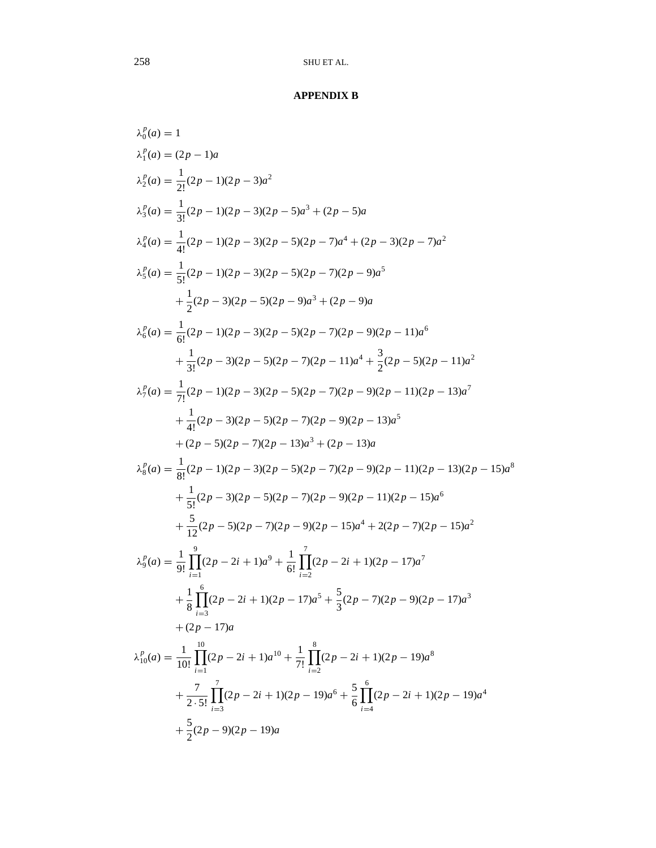# **APPENDIX B**

$$
λ_0^p(a) = 1
$$
  
\n
$$
λ_2^p(a) = \frac{1}{2!}(2p - 1)(2p - 3)a^2
$$
  
\n
$$
λ_2^p(a) = \frac{1}{3!}(2p - 1)(2p - 3)(2p - 5)a^3 + (2p - 5)a
$$
  
\n
$$
λ_4^p(a) = \frac{1}{4!}(2p - 1)(2p - 3)(2p - 5)(2p - 7)a^4 + (2p - 3)(2p - 7)a^2
$$
  
\n
$$
λ_5^p(a) = \frac{1}{5!}(2p - 1)(2p - 3)(2p - 5)(2p - 7)(2p - 9)a^5
$$
  
\n
$$
+ \frac{1}{2}(2p - 3)(2p - 5)(2p - 9)a^3 + (2p - 9)a
$$
  
\n
$$
λ_6^p(a) = \frac{1}{6!}(2p - 1)(2p - 3)(2p - 5)(2p - 7)(2p - 9)(2p - 11)a^6
$$
  
\n
$$
+ \frac{1}{3!}(2p - 3)(2p - 5)(2p - 7)(2p - 11)a^4 + \frac{3}{2}(2p - 5)(2p - 11)a^2
$$
  
\n
$$
λ_5^p(a) = \frac{1}{7!}(2p - 1)(2p - 3)(2p - 5)(2p - 7)(2p - 9)(2p - 11)(2p - 13)a^7
$$
  
\n
$$
+ \frac{1}{4!}(2p - 3)(2p - 5)(2p - 7)(2p - 9)(2p - 13)a^5
$$
  
\n
$$
+ (2p - 5)(2p - 7)(2p - 9)(2p - 13)a^5
$$
  
\n
$$
+ (2p - 5)(2p - 7)(2p - 9)(2p - 13)a^5
$$
  
\n
$$
+ \frac{1}{5!}(2p - 3)(2p - 5)(2p - 7)(2p - 9)(2p - 11)(2p - 13)(2p - 15)a^6
$$
  
\n
$$
+ \frac{1}{5!}(2p - 3)(2p - 5)(2p - 7)(2p - 9)(2p - 11)(2p -
$$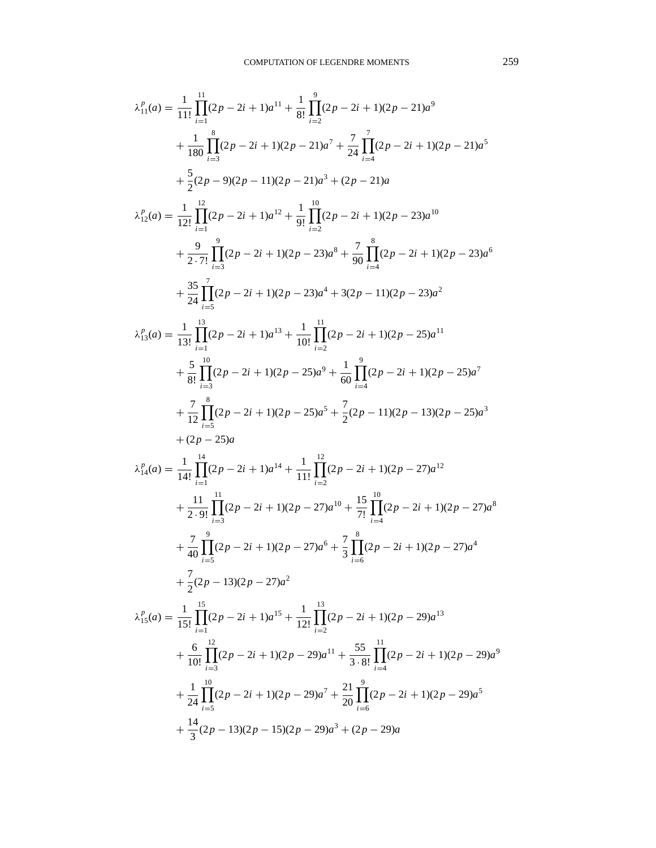$$
\lambda_{11}^{p}(a) = \frac{1}{11!} \prod_{i=1}^{11} (2p - 2i + 1)a^{11} + \frac{1}{8!} \prod_{i=2}^{9} (2p - 2i + 1)(2p - 21)a^{9}
$$
  
+ 
$$
\frac{1}{180} \prod_{i=3}^{8} (2p - 2i + 1)(2p - 21)a^{7} + \frac{7}{24} \prod_{i=4}^{7} (2p - 2i + 1)(2p - 21)a^{5}
$$
  
+ 
$$
\frac{5}{2}(2p - 9)(2p - 11)(2p - 21)a^{3} + (2p - 21)a
$$
  

$$
\lambda_{12}^{p}(a) = \frac{1}{12!} \prod_{i=1}^{12} (2p - 2i + 1)a^{12} + \frac{1}{9!} \prod_{i=2}^{10} (2p - 2i + 1)(2p - 23)a^{10}
$$
  
+ 
$$
\frac{9}{2 \cdot 7!} \prod_{i=3}^{12} (2p - 2i + 1)(2p - 23)a^{8} + \frac{7}{90} \prod_{i=4}^{8} (2p - 2i + 1)(2p - 23)a^{6}
$$
  
+ 
$$
\frac{35}{24} \prod_{i=5}^{7} (2p - 2i + 1)(2p - 23)a^{4} + 3(2p - 11)(2p - 23)a^{2}
$$
  
+ 
$$
\frac{35}{8!} \prod_{i=5}^{10} (2p - 2i + 1)(2p - 23)a^{4} + 3(2p - 11)(2p - 23)a^{2}
$$
  
+ 
$$
\frac{5}{8!} \prod_{i=5}^{10} (2p - 2i + 1)(2p - 25)a^{9} + \frac{1}{60} \prod_{i=4}^{9} (2p - 2i + 1)(2p - 25)a^{7}
$$
  
+ 
$$
\frac{7}{8!} \prod_{i=5}^{8} (2p - 2i + 1)(2p - 25)a^{6} + \frac{7}{60} (2p - 2i + 1)(2p - 25)a^{7}
$$
  
+ 
$$
\frac{7}{12} \prod_{i=5}^{8} (2p - 2i + 1
$$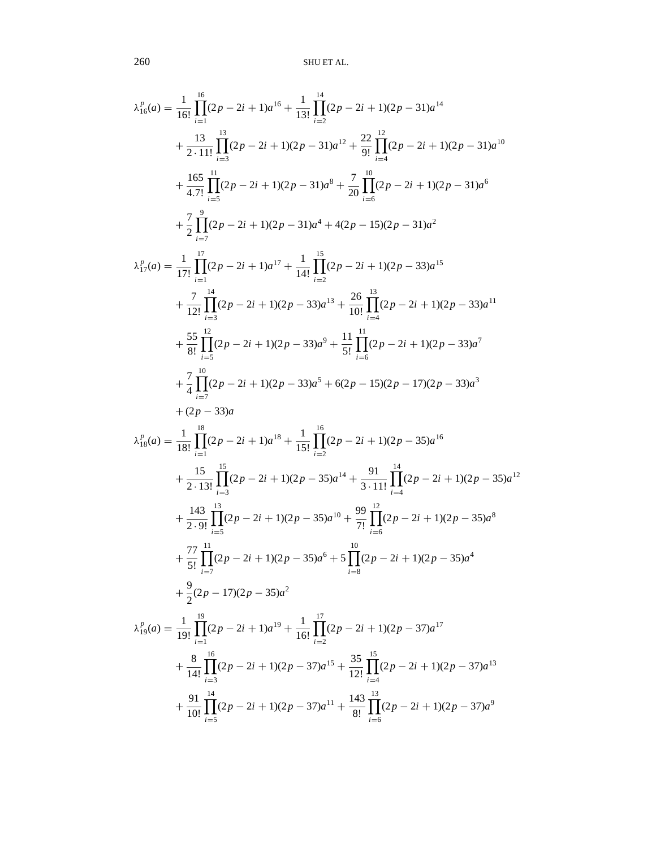$$
\lambda_{16}^{p}(a) = \frac{1}{16!} \prod_{i=1}^{16} (2p - 2i + 1)a^{16} + \frac{1}{13!} \prod_{i=2}^{14} (2p - 2i + 1)(2p - 31)a^{14}
$$
\n
$$
+ \frac{13}{2 \cdot 11!} \prod_{i=3}^{13} (2p - 2i + 1)(2p - 31)a^{12} + \frac{22}{9!} \prod_{i=4}^{12} (2p - 2i + 1)(2p - 31)a^{10}
$$
\n
$$
+ \frac{165}{4 \cdot 7!} \prod_{i=5}^{11} (2p - 2i + 1)(2p - 31)a^{8} + \frac{7}{20} \prod_{i=6}^{10} (2p - 2i + 1)(2p - 31)a^{6}
$$
\n
$$
+ \frac{7}{2} \prod_{i=5}^{9} (2p - 2i + 1)(2p - 31)a^{4} + 4(2p - 15)(2p - 31)a^{2}
$$
\n
$$
\lambda_{17}^{p}(a) = \frac{1}{17!} \prod_{i=1}^{17} (2p - 2i + 1)(2p - 33)a^{13} + \frac{26}{10!} \prod_{i=4}^{13} (2p - 2i + 1)(2p - 33)a^{11}
$$
\n
$$
+ \frac{55}{12!} \prod_{i=3}^{12} (2p - 2i + 1)(2p - 33)a^{3} + \frac{26}{10!} \prod_{i=4}^{13} (2p - 2i + 1)(2p - 33)a^{7}
$$
\n
$$
+ \frac{7}{8!} \prod_{i=5}^{12} (2p - 2i + 1)(2p - 33)a^{5} + 6(2p - 15)(2p - 17)(2p - 33)a^{3}
$$
\n
$$
+ 2 \prod_{i=5}^{18} (2p - 2i + 1)(2p - 33)a^{5} + 6(2p - 15)(2p - 17)(2p - 33)a^{3}
$$
\n
$$
+ (2p - 33)a
$$
\n
$$
\lambda_{18}^{p}(a) = \frac{1}{18!} \prod_{i=
$$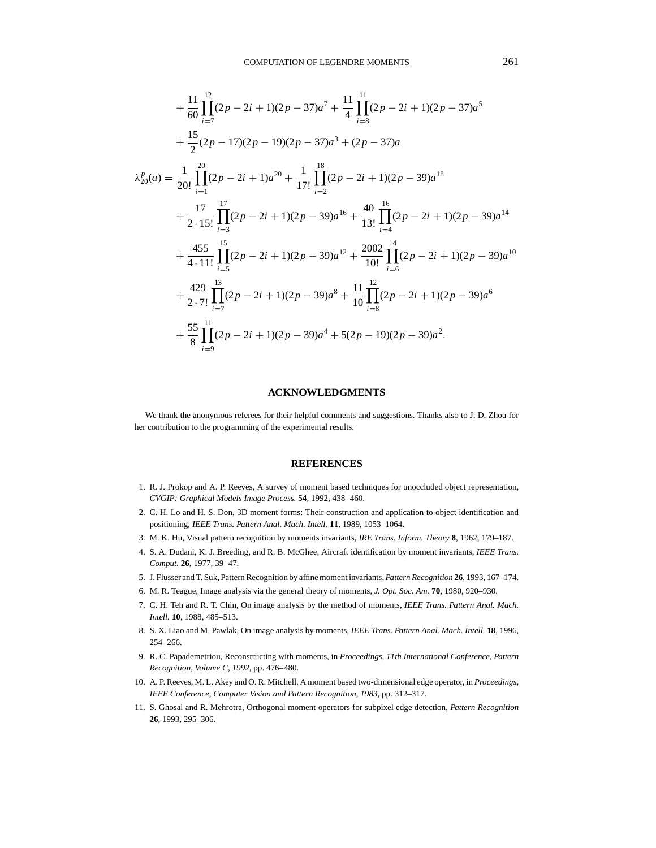$$
+\frac{11}{60}\prod_{i=7}^{12}(2p-2i+1)(2p-37)a^{7} + \frac{11}{4}\prod_{i=8}^{11}(2p-2i+1)(2p-37)a^{5}
$$
  
+  $\frac{15}{2}(2p-17)(2p-19)(2p-37)a^{3} + (2p-37)a$   

$$
\lambda_{20}^{p}(a) = \frac{1}{20!}\prod_{i=1}^{20}(2p-2i+1)a^{20} + \frac{1}{17!}\prod_{i=2}^{18}(2p-2i+1)(2p-39)a^{18}
$$
  
+  $\frac{17}{2 \cdot 15!}\prod_{i=3}^{17}(2p-2i+1)(2p-39)a^{16} + \frac{40}{13!}\prod_{i=4}^{16}(2p-2i+1)(2p-39)a^{14}$   
+  $\frac{455}{4 \cdot 11!}\prod_{i=5}^{15}(2p-2i+1)(2p-39)a^{12} + \frac{2002}{10!}\prod_{i=6}^{14}(2p-2i+1)(2p-39)a^{10}$   
+  $\frac{429}{2 \cdot 7!}\prod_{i=7}^{13}(2p-2i+1)(2p-39)a^{8} + \frac{11}{10}\prod_{i=8}^{12}(2p-2i+1)(2p-39)a^{6}$   
+  $\frac{55}{8}\prod_{i=9}^{11}(2p-2i+1)(2p-39)a^{4} + 5(2p-19)(2p-39)a^{2}.$ 

#### **ACKNOWLEDGMENTS**

We thank the anonymous referees for their helpful comments and suggestions. Thanks also to J. D. Zhou for her contribution to the programming of the experimental results.

# **REFERENCES**

- 1. R. J. Prokop and A. P. Reeves, A survey of moment based techniques for unoccluded object representation, *CVGIP: Graphical Models Image Process.* **54**, 1992, 438–460.
- 2. C. H. Lo and H. S. Don, 3D moment forms: Their construction and application to object identification and positioning, *IEEE Trans. Pattern Anal. Mach. Intell.* **11**, 1989, 1053–1064.
- 3. M. K. Hu, Visual pattern recognition by moments invariants, *IRE Trans. Inform. Theory* **8**, 1962, 179–187.
- 4. S. A. Dudani, K. J. Breeding, and R. B. McGhee, Aircraft identification by moment invariants, *IEEE Trans. Comput.* **26**, 1977, 39–47.
- 5. J. Flusser and T. Suk, Pattern Recognition by affine moment invariants, *Pattern Recognition* **26**, 1993, 167–174.
- 6. M. R. Teague, Image analysis via the general theory of moments, *J. Opt. Soc. Am.* **70**, 1980, 920–930.
- 7. C. H. Teh and R. T. Chin, On image analysis by the method of moments, *IEEE Trans. Pattern Anal. Mach. Intell.* **10**, 1988, 485–513.
- 8. S. X. Liao and M. Pawlak, On image analysis by moments, *IEEE Trans. Pattern Anal. Mach. Intell.* **18**, 1996, 254–266.
- 9. R. C. Papademetriou, Reconstructing with moments, in *Proceedings, 11th International Conference, Pattern Recognition, Volume C, 1992*, pp. 476–480.
- 10. A. P. Reeves, M. L. Akey and O. R. Mitchell, A moment based two-dimensional edge operator, in *Proceedings, IEEE Conference, Computer Vision and Pattern Recognition, 1983*, pp. 312–317.
- 11. S. Ghosal and R. Mehrotra, Orthogonal moment operators for subpixel edge detection, *Pattern Recognition* **26**, 1993, 295–306.